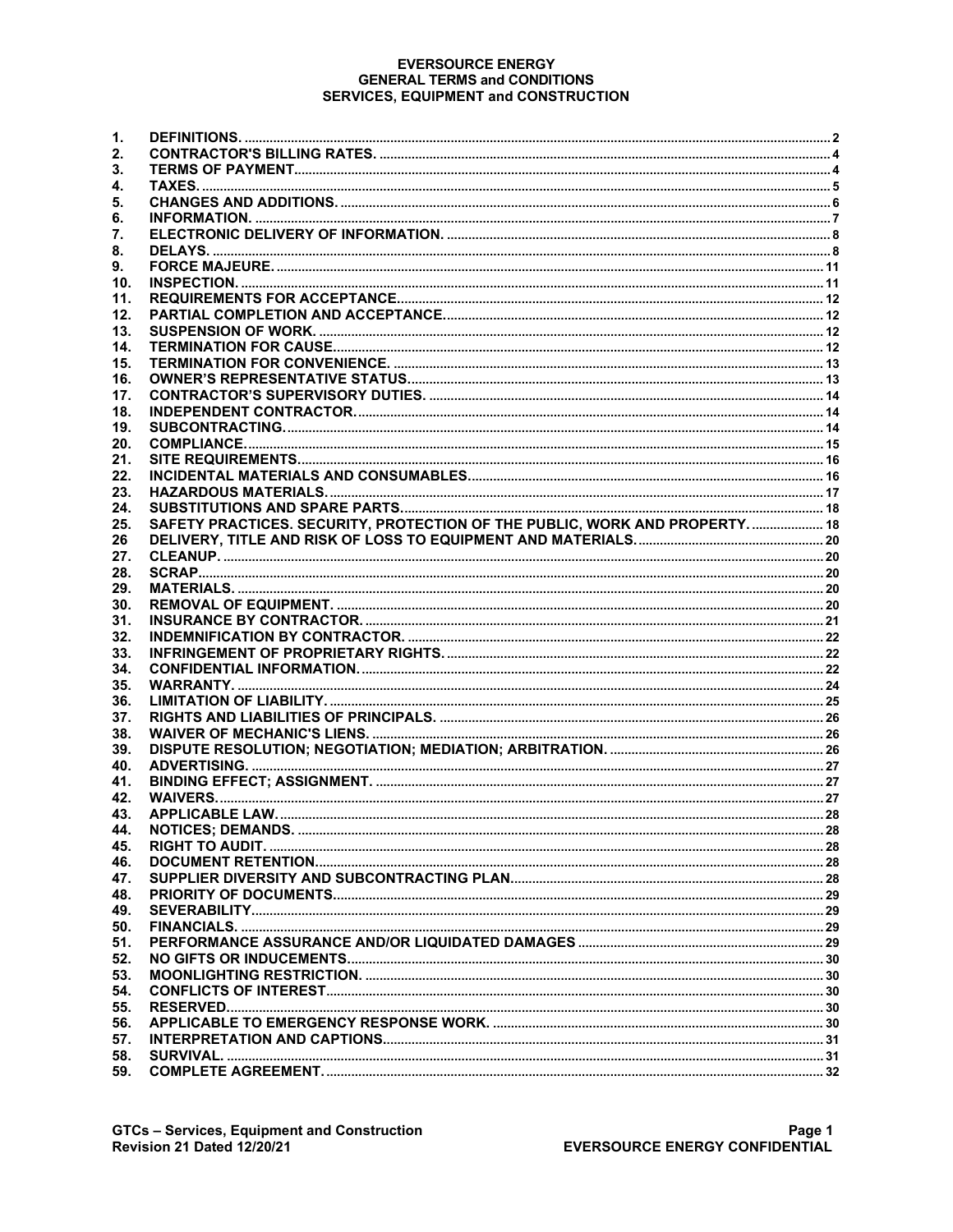#### **EVERSOURCE ENERGY GENERAL TERMS and CONDITIONS SERVICES, EQUIPMENT and CONSTRUCTION**

| 1.  |                                                                            |  |
|-----|----------------------------------------------------------------------------|--|
| 2.  |                                                                            |  |
| 3.  |                                                                            |  |
| 4.  |                                                                            |  |
| 5.  |                                                                            |  |
| 6.  |                                                                            |  |
| 7.  |                                                                            |  |
| 8.  |                                                                            |  |
| 9.  |                                                                            |  |
| 10. |                                                                            |  |
| 11. |                                                                            |  |
| 12. |                                                                            |  |
| 13. |                                                                            |  |
| 14. |                                                                            |  |
| 15. |                                                                            |  |
| 16. |                                                                            |  |
| 17. |                                                                            |  |
| 18. |                                                                            |  |
| 19. |                                                                            |  |
| 20. |                                                                            |  |
| 21. |                                                                            |  |
| 22. |                                                                            |  |
| 23. |                                                                            |  |
| 24. |                                                                            |  |
| 25. | SAFETY PRACTICES. SECURITY, PROTECTION OF THE PUBLIC, WORK AND PROPERTY 18 |  |
| 26  |                                                                            |  |
| 27. |                                                                            |  |
| 28. |                                                                            |  |
| 29. |                                                                            |  |
| 30. |                                                                            |  |
| 31. |                                                                            |  |
| 32. |                                                                            |  |
| 33. |                                                                            |  |
| 34. |                                                                            |  |
| 35. |                                                                            |  |
| 36. |                                                                            |  |
| 37. |                                                                            |  |
| 38. |                                                                            |  |
| 39. |                                                                            |  |
| 40. |                                                                            |  |
|     |                                                                            |  |
| 41. |                                                                            |  |
| 42. |                                                                            |  |
| 43. |                                                                            |  |
| 44. |                                                                            |  |
| 45. |                                                                            |  |
| 46. |                                                                            |  |
| 47. |                                                                            |  |
| 48. |                                                                            |  |
| 49. |                                                                            |  |
| 50. |                                                                            |  |
| 51. |                                                                            |  |
| 52. |                                                                            |  |
| 53. |                                                                            |  |
| 54. |                                                                            |  |
| 55. |                                                                            |  |
| 56. |                                                                            |  |
| 57. |                                                                            |  |
| 58. |                                                                            |  |
| 59. |                                                                            |  |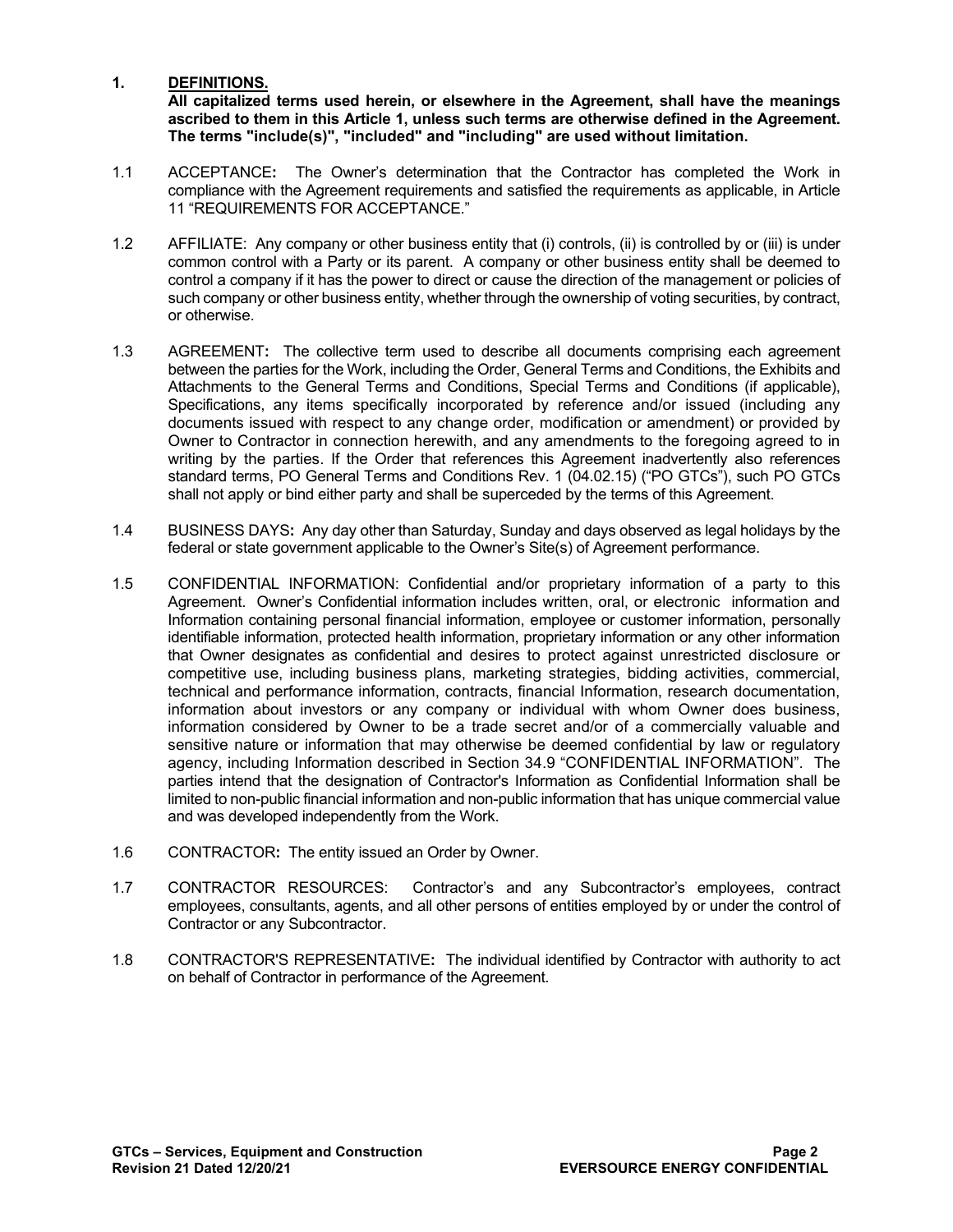# **1. DEFINITIONS.**

**All capitalized terms used herein, or elsewhere in the Agreement, shall have the meanings ascribed to them in this Article 1, unless such terms are otherwise defined in the Agreement. The terms "include(s)", "included" and "including" are used without limitation.**

- 1.1 ACCEPTANCE**:** The Owner's determination that the Contractor has completed the Work in compliance with the Agreement requirements and satisfied the requirements as applicable, in Article 11 "REQUIREMENTS FOR ACCEPTANCE."
- 1.2 AFFILIATE: Any company or other business entity that (i) controls, (ii) is controlled by or (iii) is under common control with a Party or its parent. A company or other business entity shall be deemed to control a company if it has the power to direct or cause the direction of the management or policies of such company or other business entity, whether through the ownership of voting securities, by contract, or otherwise.
- 1.3 AGREEMENT**:** The collective term used to describe all documents comprising each agreement between the parties for the Work, including the Order, General Terms and Conditions, the Exhibits and Attachments to the General Terms and Conditions, Special Terms and Conditions (if applicable), Specifications, any items specifically incorporated by reference and/or issued (including any documents issued with respect to any change order, modification or amendment) or provided by Owner to Contractor in connection herewith, and any amendments to the foregoing agreed to in writing by the parties. If the Order that references this Agreement inadvertently also references standard terms, PO General Terms and Conditions Rev. 1 (04.02.15) ("PO GTCs"), such PO GTCs shall not apply or bind either party and shall be superceded by the terms of this Agreement.
- 1.4 BUSINESS DAYS**:** Any day other than Saturday, Sunday and days observed as legal holidays by the federal or state government applicable to the Owner's Site(s) of Agreement performance.
- 1.5 CONFIDENTIAL INFORMATION: Confidential and/or proprietary information of a party to this Agreement. Owner's Confidential information includes written, oral, or electronic information and Information containing personal financial information, employee or customer information, personally identifiable information, protected health information, proprietary information or any other information that Owner designates as confidential and desires to protect against unrestricted disclosure or competitive use, including business plans, marketing strategies, bidding activities, commercial, technical and performance information, contracts, financial Information, research documentation, information about investors or any company or individual with whom Owner does business, information considered by Owner to be a trade secret and/or of a commercially valuable and sensitive nature or information that may otherwise be deemed confidential by law or regulatory agency, including Information described in Section 34.9 "CONFIDENTIAL INFORMATION". The parties intend that the designation of Contractor's Information as Confidential Information shall be limited to non-public financial information and non-public information that has unique commercial value and was developed independently from the Work.
- 1.6 CONTRACTOR**:** The entity issued an Order by Owner.
- 1.7 CONTRACTOR RESOURCES: Contractor's and any Subcontractor's employees, contract employees, consultants, agents, and all other persons of entities employed by or under the control of Contractor or any Subcontractor.
- 1.8 CONTRACTOR'S REPRESENTATIVE**:** The individual identified by Contractor with authority to act on behalf of Contractor in performance of the Agreement.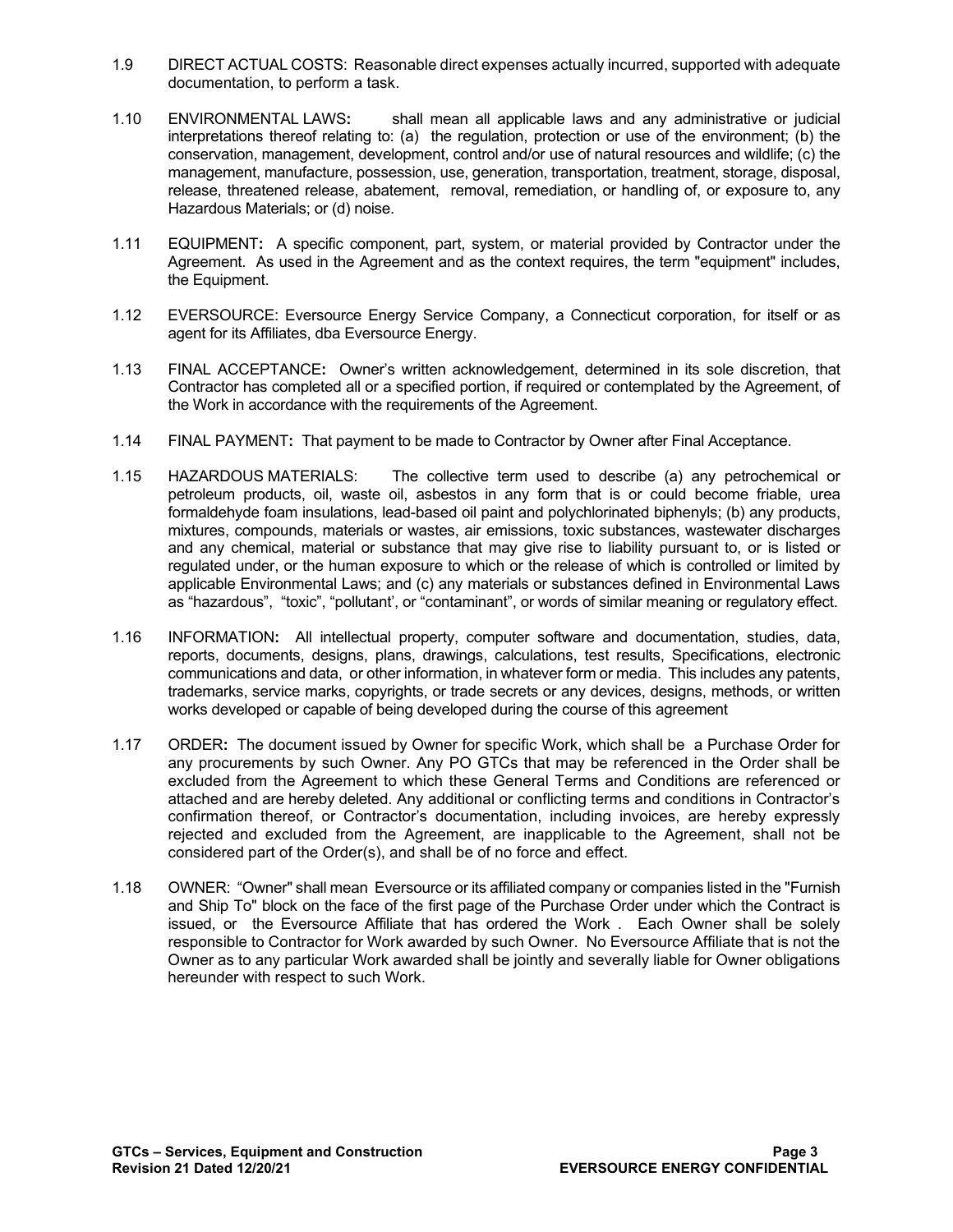- 1.9 DIRECT ACTUAL COSTS: Reasonable direct expenses actually incurred, supported with adequate documentation, to perform a task.
- 1.10 ENVIRONMENTAL LAWS**:** shall mean all applicable laws and any administrative or judicial interpretations thereof relating to: (a) the regulation, protection or use of the environment; (b) the conservation, management, development, control and/or use of natural resources and wildlife; (c) the management, manufacture, possession, use, generation, transportation, treatment, storage, disposal, release, threatened release, abatement, removal, remediation, or handling of, or exposure to, any Hazardous Materials; or (d) noise.
- 1.11 EQUIPMENT**:** A specific component, part, system, or material provided by Contractor under the Agreement. As used in the Agreement and as the context requires, the term "equipment" includes, the Equipment.
- 1.12 EVERSOURCE: Eversource Energy Service Company, a Connecticut corporation, for itself or as agent for its Affiliates, dba Eversource Energy.
- 1.13 FINAL ACCEPTANCE**:** Owner's written acknowledgement, determined in its sole discretion, that Contractor has completed all or a specified portion, if required or contemplated by the Agreement, of the Work in accordance with the requirements of the Agreement.
- 1.14 FINAL PAYMENT**:** That payment to be made to Contractor by Owner after Final Acceptance.
- 1.15 HAZARDOUS MATERIALS: The collective term used to describe (a) any petrochemical or petroleum products, oil, waste oil, asbestos in any form that is or could become friable, urea formaldehyde foam insulations, lead-based oil paint and polychlorinated biphenyls; (b) any products, mixtures, compounds, materials or wastes, air emissions, toxic substances, wastewater discharges and any chemical, material or substance that may give rise to liability pursuant to, or is listed or regulated under, or the human exposure to which or the release of which is controlled or limited by applicable Environmental Laws; and (c) any materials or substances defined in Environmental Laws as "hazardous", "toxic", "pollutant', or "contaminant", or words of similar meaning or regulatory effect.
- 1.16 INFORMATION**:** All intellectual property, computer software and documentation, studies, data, reports, documents, designs, plans, drawings, calculations, test results, Specifications, electronic communications and data, or other information, in whatever form or media. This includes any patents, trademarks, service marks, copyrights, or trade secrets or any devices, designs, methods, or written works developed or capable of being developed during the course of this agreement
- 1.17 ORDER**:** The document issued by Owner for specific Work, which shall be a Purchase Order for any procurements by such Owner. Any PO GTCs that may be referenced in the Order shall be excluded from the Agreement to which these General Terms and Conditions are referenced or attached and are hereby deleted. Any additional or conflicting terms and conditions in Contractor's confirmation thereof, or Contractor's documentation, including invoices, are hereby expressly rejected and excluded from the Agreement, are inapplicable to the Agreement, shall not be considered part of the Order(s), and shall be of no force and effect.
- 1.18 OWNER: "Owner" shall mean Eversource or its affiliated company or companies listed in the "Furnish and Ship To" block on the face of the first page of the Purchase Order under which the Contract is issued, or the Eversource Affiliate that has ordered the Work . Each Owner shall be solely responsible to Contractor for Work awarded by such Owner. No Eversource Affiliate that is not the Owner as to any particular Work awarded shall be jointly and severally liable for Owner obligations hereunder with respect to such Work.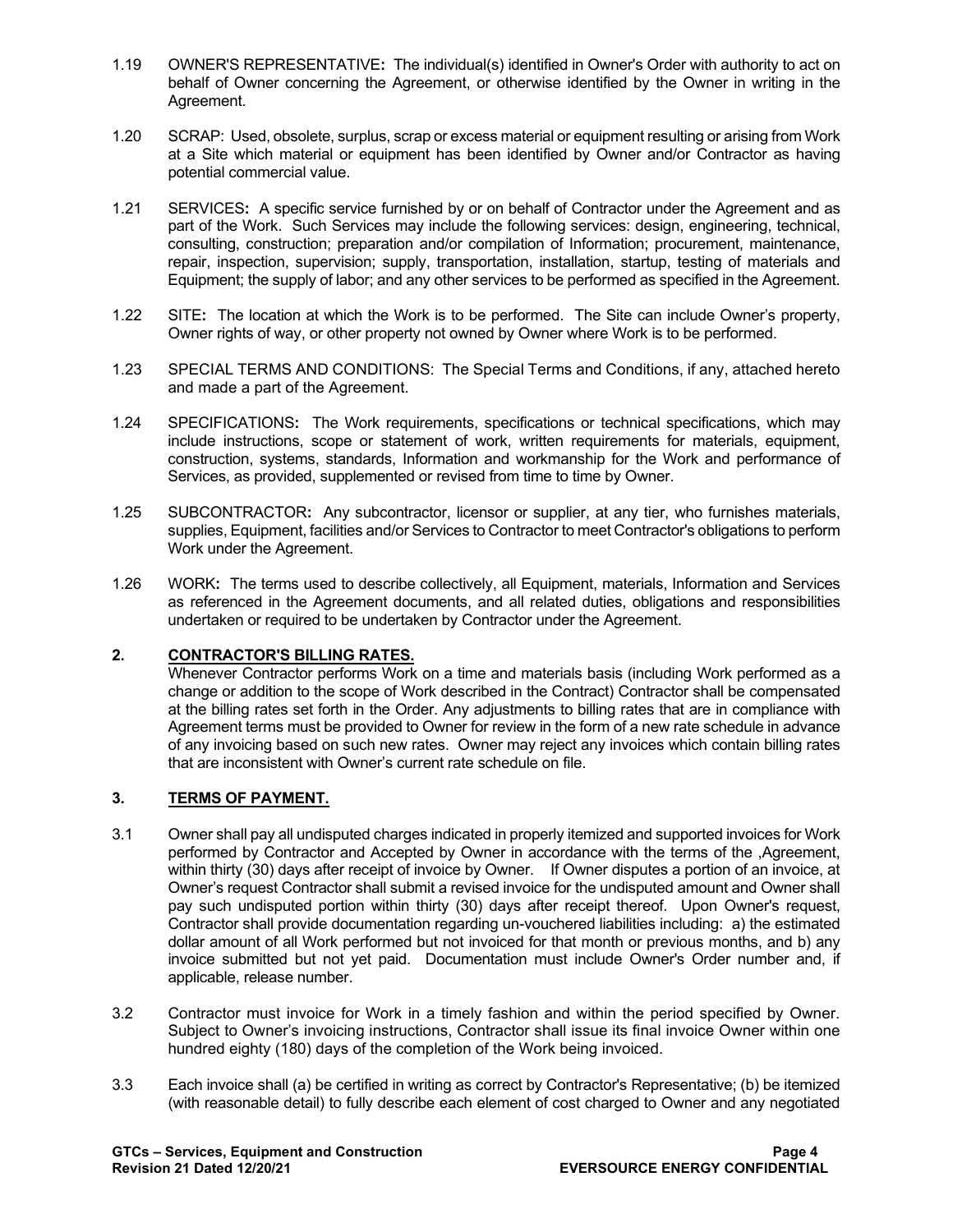- 1.19 OWNER'S REPRESENTATIVE**:** The individual(s) identified in Owner's Order with authority to act on behalf of Owner concerning the Agreement, or otherwise identified by the Owner in writing in the Agreement.
- 1.20 SCRAP: Used, obsolete, surplus, scrap or excess material or equipment resulting or arising from Work at a Site which material or equipment has been identified by Owner and/or Contractor as having potential commercial value.
- 1.21 SERVICES**:** A specific service furnished by or on behalf of Contractor under the Agreement and as part of the Work. Such Services may include the following services: design, engineering, technical, consulting, construction; preparation and/or compilation of Information; procurement, maintenance, repair, inspection, supervision; supply, transportation, installation, startup, testing of materials and Equipment; the supply of labor; and any other services to be performed as specified in the Agreement.
- 1.22 SITE**:** The location at which the Work is to be performed. The Site can include Owner's property, Owner rights of way, or other property not owned by Owner where Work is to be performed.
- 1.23 SPECIAL TERMS AND CONDITIONS: The Special Terms and Conditions, if any, attached hereto and made a part of the Agreement.
- 1.24 SPECIFICATIONS**:** The Work requirements, specifications or technical specifications, which may include instructions, scope or statement of work, written requirements for materials, equipment, construction, systems, standards, Information and workmanship for the Work and performance of Services, as provided, supplemented or revised from time to time by Owner.
- 1.25 SUBCONTRACTOR**:** Any subcontractor, licensor or supplier, at any tier, who furnishes materials, supplies, Equipment, facilities and/or Services to Contractor to meet Contractor's obligations to perform Work under the Agreement.
- 1.26 WORK**:** The terms used to describe collectively, all Equipment, materials, Information and Services as referenced in the Agreement documents, and all related duties, obligations and responsibilities undertaken or required to be undertaken by Contractor under the Agreement.

# **2. CONTRACTOR'S BILLING RATES.**

Whenever Contractor performs Work on a time and materials basis (including Work performed as a change or addition to the scope of Work described in the Contract) Contractor shall be compensated at the billing rates set forth in the Order. Any adjustments to billing rates that are in compliance with Agreement terms must be provided to Owner for review in the form of a new rate schedule in advance of any invoicing based on such new rates. Owner may reject any invoices which contain billing rates that are inconsistent with Owner's current rate schedule on file.

# **3. TERMS OF PAYMENT.**

- 3.1 Owner shall pay all undisputed charges indicated in properly itemized and supported invoices for Work performed by Contractor and Accepted by Owner in accordance with the terms of the ,Agreement, within thirty (30) days after receipt of invoice by Owner. If Owner disputes a portion of an invoice, at Owner's request Contractor shall submit a revised invoice for the undisputed amount and Owner shall pay such undisputed portion within thirty (30) days after receipt thereof. Upon Owner's request, Contractor shall provide documentation regarding un-vouchered liabilities including: a) the estimated dollar amount of all Work performed but not invoiced for that month or previous months, and b) any invoice submitted but not yet paid. Documentation must include Owner's Order number and, if applicable, release number.
- 3.2 Contractor must invoice for Work in a timely fashion and within the period specified by Owner. Subject to Owner's invoicing instructions, Contractor shall issue its final invoice Owner within one hundred eighty (180) days of the completion of the Work being invoiced.
- 3.3 Each invoice shall (a) be certified in writing as correct by Contractor's Representative; (b) be itemized (with reasonable detail) to fully describe each element of cost charged to Owner and any negotiated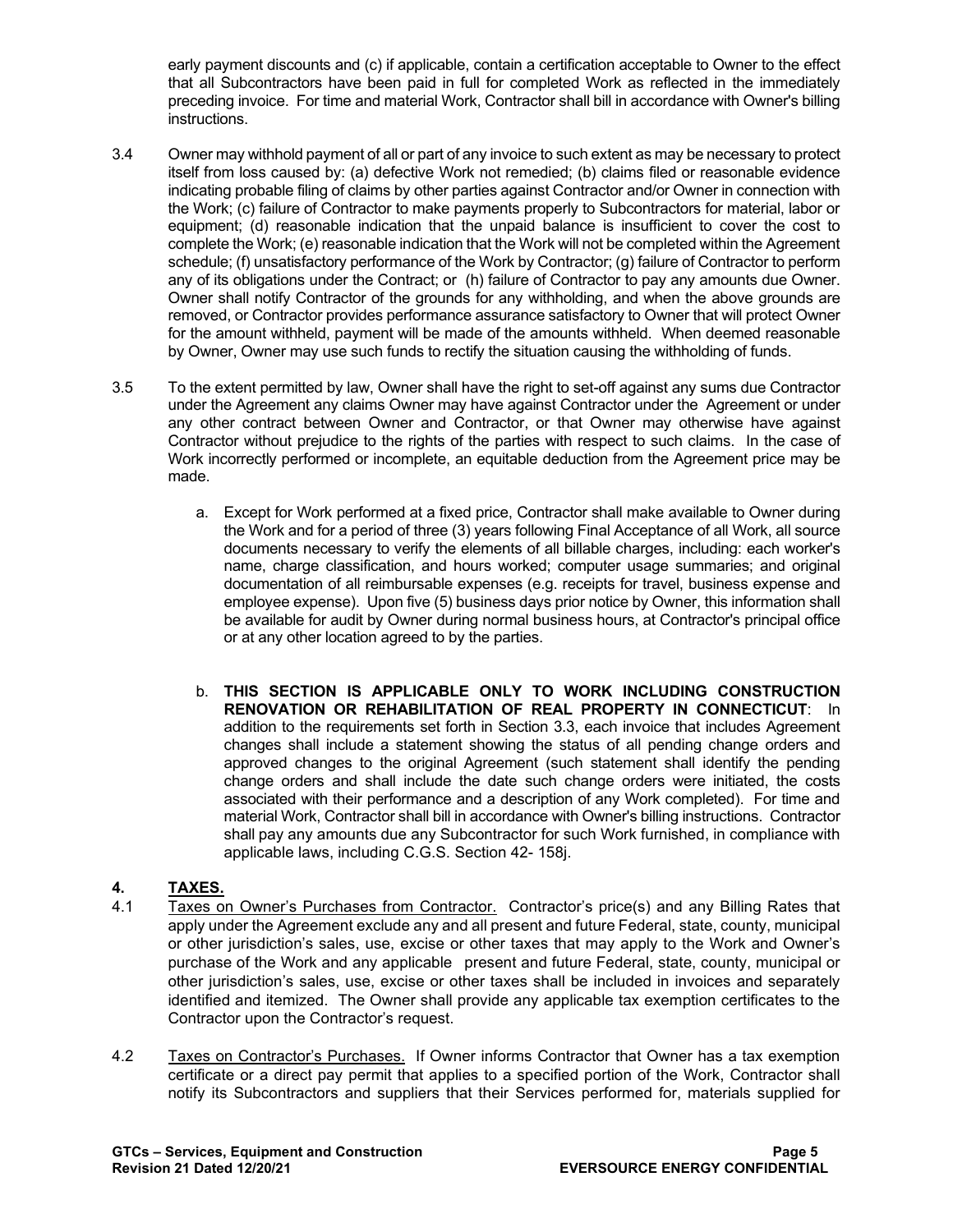early payment discounts and (c) if applicable, contain a certification acceptable to Owner to the effect that all Subcontractors have been paid in full for completed Work as reflected in the immediately preceding invoice. For time and material Work, Contractor shall bill in accordance with Owner's billing instructions.

- 3.4 Owner may withhold payment of all or part of any invoice to such extent as may be necessary to protect itself from loss caused by: (a) defective Work not remedied; (b) claims filed or reasonable evidence indicating probable filing of claims by other parties against Contractor and/or Owner in connection with the Work; (c) failure of Contractor to make payments properly to Subcontractors for material, labor or equipment; (d) reasonable indication that the unpaid balance is insufficient to cover the cost to complete the Work; (e) reasonable indication that the Work will not be completed within the Agreement schedule; (f) unsatisfactory performance of the Work by Contractor; (g) failure of Contractor to perform any of its obligations under the Contract; or (h) failure of Contractor to pay any amounts due Owner. Owner shall notify Contractor of the grounds for any withholding, and when the above grounds are removed, or Contractor provides performance assurance satisfactory to Owner that will protect Owner for the amount withheld, payment will be made of the amounts withheld. When deemed reasonable by Owner, Owner may use such funds to rectify the situation causing the withholding of funds.
- 3.5 To the extent permitted by law, Owner shall have the right to set-off against any sums due Contractor under the Agreement any claims Owner may have against Contractor under the Agreement or under any other contract between Owner and Contractor, or that Owner may otherwise have against Contractor without prejudice to the rights of the parties with respect to such claims. In the case of Work incorrectly performed or incomplete, an equitable deduction from the Agreement price may be made.
	- a. Except for Work performed at a fixed price, Contractor shall make available to Owner during the Work and for a period of three (3) years following Final Acceptance of all Work, all source documents necessary to verify the elements of all billable charges, including: each worker's name, charge classification, and hours worked; computer usage summaries; and original documentation of all reimbursable expenses (e.g. receipts for travel, business expense and employee expense). Upon five (5) business days prior notice by Owner, this information shall be available for audit by Owner during normal business hours, at Contractor's principal office or at any other location agreed to by the parties.
	- b. **THIS SECTION IS APPLICABLE ONLY TO WORK INCLUDING CONSTRUCTION RENOVATION OR REHABILITATION OF REAL PROPERTY IN CONNECTICUT**: In addition to the requirements set forth in Section 3.3, each invoice that includes Agreement changes shall include a statement showing the status of all pending change orders and approved changes to the original Agreement (such statement shall identify the pending change orders and shall include the date such change orders were initiated, the costs associated with their performance and a description of any Work completed). For time and material Work, Contractor shall bill in accordance with Owner's billing instructions. Contractor shall pay any amounts due any Subcontractor for such Work furnished, in compliance with applicable laws, including C.G.S. Section 42- 158j.

# **4. TAXES.**

- Taxes on Owner's Purchases from Contractor. Contractor's price(s) and any Billing Rates that apply under the Agreement exclude any and all present and future Federal, state, county, municipal or other jurisdiction's sales, use, excise or other taxes that may apply to the Work and Owner's purchase of the Work and any applicable present and future Federal, state, county, municipal or other jurisdiction's sales, use, excise or other taxes shall be included in invoices and separately identified and itemized. The Owner shall provide any applicable tax exemption certificates to the Contractor upon the Contractor's request.
- 4.2 Taxes on Contractor's Purchases. If Owner informs Contractor that Owner has a tax exemption certificate or a direct pay permit that applies to a specified portion of the Work, Contractor shall notify its Subcontractors and suppliers that their Services performed for, materials supplied for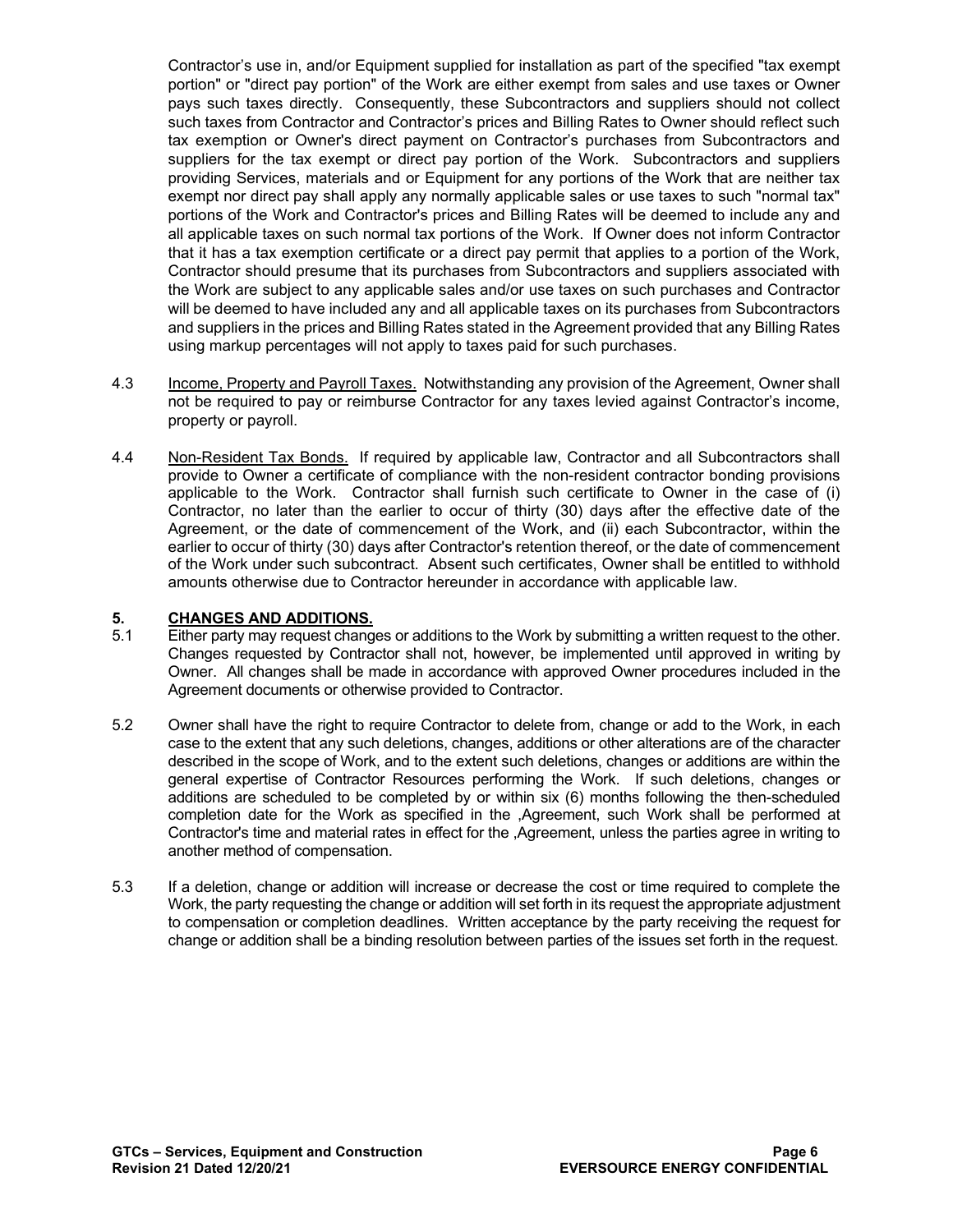Contractor's use in, and/or Equipment supplied for installation as part of the specified "tax exempt portion" or "direct pay portion" of the Work are either exempt from sales and use taxes or Owner pays such taxes directly. Consequently, these Subcontractors and suppliers should not collect such taxes from Contractor and Contractor's prices and Billing Rates to Owner should reflect such tax exemption or Owner's direct payment on Contractor's purchases from Subcontractors and suppliers for the tax exempt or direct pay portion of the Work. Subcontractors and suppliers providing Services, materials and or Equipment for any portions of the Work that are neither tax exempt nor direct pay shall apply any normally applicable sales or use taxes to such "normal tax" portions of the Work and Contractor's prices and Billing Rates will be deemed to include any and all applicable taxes on such normal tax portions of the Work. If Owner does not inform Contractor that it has a tax exemption certificate or a direct pay permit that applies to a portion of the Work, Contractor should presume that its purchases from Subcontractors and suppliers associated with the Work are subject to any applicable sales and/or use taxes on such purchases and Contractor will be deemed to have included any and all applicable taxes on its purchases from Subcontractors and suppliers in the prices and Billing Rates stated in the Agreement provided that any Billing Rates using markup percentages will not apply to taxes paid for such purchases.

- 4.3 Income, Property and Payroll Taxes. Notwithstanding any provision of the Agreement, Owner shall not be required to pay or reimburse Contractor for any taxes levied against Contractor's income, property or payroll.
- 4.4 Non-Resident Tax Bonds. If required by applicable law, Contractor and all Subcontractors shall provide to Owner a certificate of compliance with the non-resident contractor bonding provisions applicable to the Work. Contractor shall furnish such certificate to Owner in the case of (i) Contractor, no later than the earlier to occur of thirty (30) days after the effective date of the Agreement, or the date of commencement of the Work, and (ii) each Subcontractor, within the earlier to occur of thirty (30) days after Contractor's retention thereof, or the date of commencement of the Work under such subcontract. Absent such certificates, Owner shall be entitled to withhold amounts otherwise due to Contractor hereunder in accordance with applicable law.

# **5. CHANGES AND ADDITIONS.**

- 5.1 Either party may request changes or additions to the Work by submitting a written request to the other. Changes requested by Contractor shall not, however, be implemented until approved in writing by Owner. All changes shall be made in accordance with approved Owner procedures included in the Agreement documents or otherwise provided to Contractor.
- 5.2 Owner shall have the right to require Contractor to delete from, change or add to the Work, in each case to the extent that any such deletions, changes, additions or other alterations are of the character described in the scope of Work, and to the extent such deletions, changes or additions are within the general expertise of Contractor Resources performing the Work. If such deletions, changes or additions are scheduled to be completed by or within six (6) months following the then-scheduled completion date for the Work as specified in the ,Agreement, such Work shall be performed at Contractor's time and material rates in effect for the ,Agreement, unless the parties agree in writing to another method of compensation.
- 5.3 If a deletion, change or addition will increase or decrease the cost or time required to complete the Work, the party requesting the change or addition will set forth in its request the appropriate adjustment to compensation or completion deadlines. Written acceptance by the party receiving the request for change or addition shall be a binding resolution between parties of the issues set forth in the request.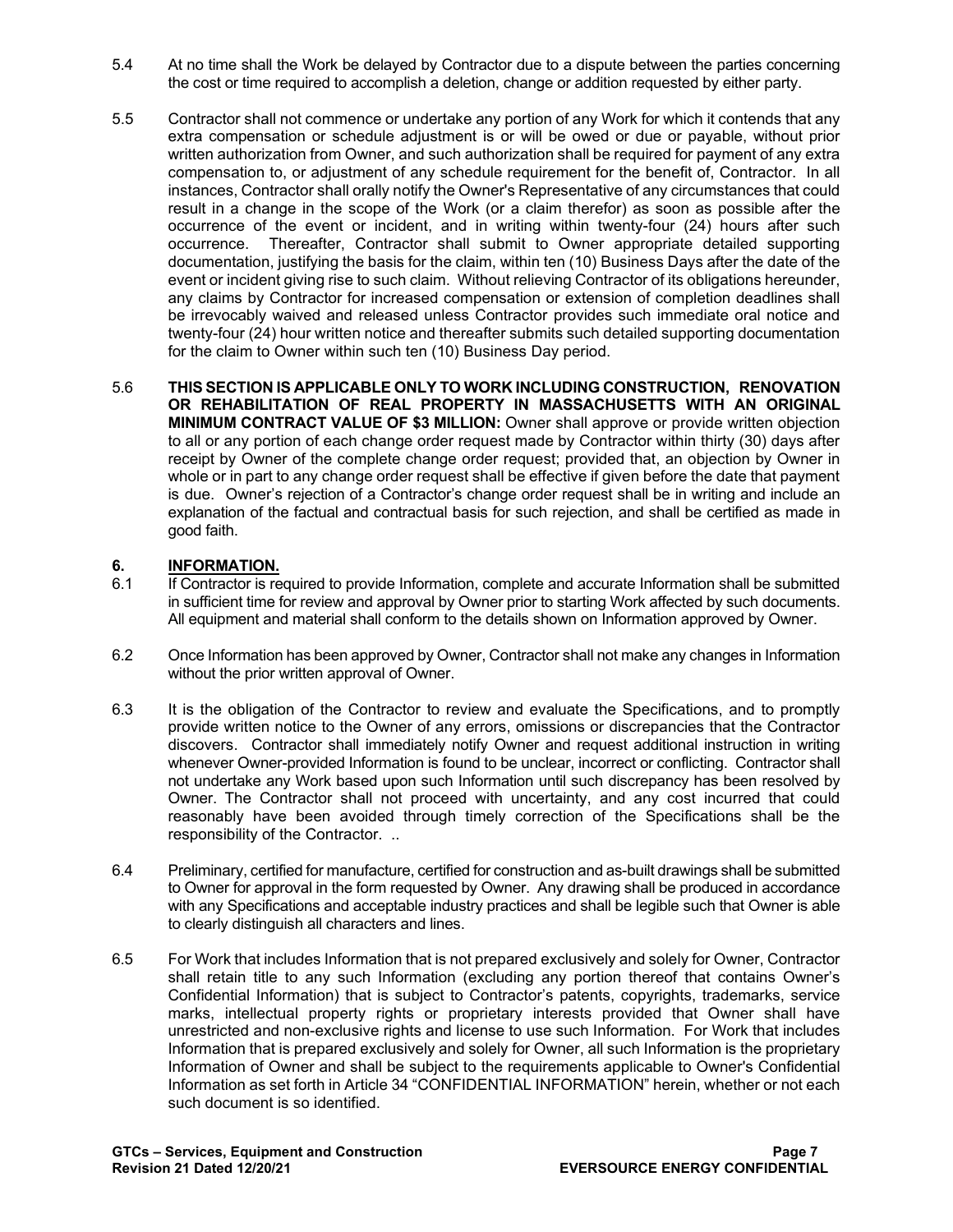- 5.4 At no time shall the Work be delayed by Contractor due to a dispute between the parties concerning the cost or time required to accomplish a deletion, change or addition requested by either party.
- 5.5 Contractor shall not commence or undertake any portion of any Work for which it contends that any extra compensation or schedule adjustment is or will be owed or due or payable, without prior written authorization from Owner, and such authorization shall be required for payment of any extra compensation to, or adjustment of any schedule requirement for the benefit of, Contractor. In all instances, Contractor shall orally notify the Owner's Representative of any circumstances that could result in a change in the scope of the Work (or a claim therefor) as soon as possible after the occurrence of the event or incident, and in writing within twenty-four (24) hours after such occurrence. Thereafter, Contractor shall submit to Owner appropriate detailed supporting documentation, justifying the basis for the claim, within ten (10) Business Days after the date of the event or incident giving rise to such claim. Without relieving Contractor of its obligations hereunder, any claims by Contractor for increased compensation or extension of completion deadlines shall be irrevocably waived and released unless Contractor provides such immediate oral notice and twenty-four (24) hour written notice and thereafter submits such detailed supporting documentation for the claim to Owner within such ten (10) Business Day period.
- 5.6 **THIS SECTION IS APPLICABLE ONLY TO WORK INCLUDING CONSTRUCTION, RENOVATION OR REHABILITATION OF REAL PROPERTY IN MASSACHUSETTS WITH AN ORIGINAL MINIMUM CONTRACT VALUE OF \$3 MILLION:** Owner shall approve or provide written objection to all or any portion of each change order request made by Contractor within thirty (30) days after receipt by Owner of the complete change order request; provided that, an objection by Owner in whole or in part to any change order request shall be effective if given before the date that payment is due. Owner's rejection of a Contractor's change order request shall be in writing and include an explanation of the factual and contractual basis for such rejection, and shall be certified as made in good faith.

# **6. INFORMATION.**<br>6.1 **If Contractor is re**

- If Contractor is required to provide Information, complete and accurate Information shall be submitted in sufficient time for review and approval by Owner prior to starting Work affected by such documents. All equipment and material shall conform to the details shown on Information approved by Owner.
- 6.2 Once Information has been approved by Owner, Contractor shall not make any changes in Information without the prior written approval of Owner.
- 6.3 It is the obligation of the Contractor to review and evaluate the Specifications, and to promptly provide written notice to the Owner of any errors, omissions or discrepancies that the Contractor discovers. Contractor shall immediately notify Owner and request additional instruction in writing whenever Owner-provided Information is found to be unclear, incorrect or conflicting. Contractor shall not undertake any Work based upon such Information until such discrepancy has been resolved by Owner. The Contractor shall not proceed with uncertainty, and any cost incurred that could reasonably have been avoided through timely correction of the Specifications shall be the responsibility of the Contractor. ..
- 6.4 Preliminary, certified for manufacture, certified for construction and as-built drawings shall be submitted to Owner for approval in the form requested by Owner. Any drawing shall be produced in accordance with any Specifications and acceptable industry practices and shall be legible such that Owner is able to clearly distinguish all characters and lines.
- 6.5 For Work that includes Information that is not prepared exclusively and solely for Owner, Contractor shall retain title to any such Information (excluding any portion thereof that contains Owner's Confidential Information) that is subject to Contractor's patents, copyrights, trademarks, service marks, intellectual property rights or proprietary interests provided that Owner shall have unrestricted and non-exclusive rights and license to use such Information. For Work that includes Information that is prepared exclusively and solely for Owner, all such Information is the proprietary Information of Owner and shall be subject to the requirements applicable to Owner's Confidential Information as set forth in Article 34 "CONFIDENTIAL INFORMATION" herein, whether or not each such document is so identified.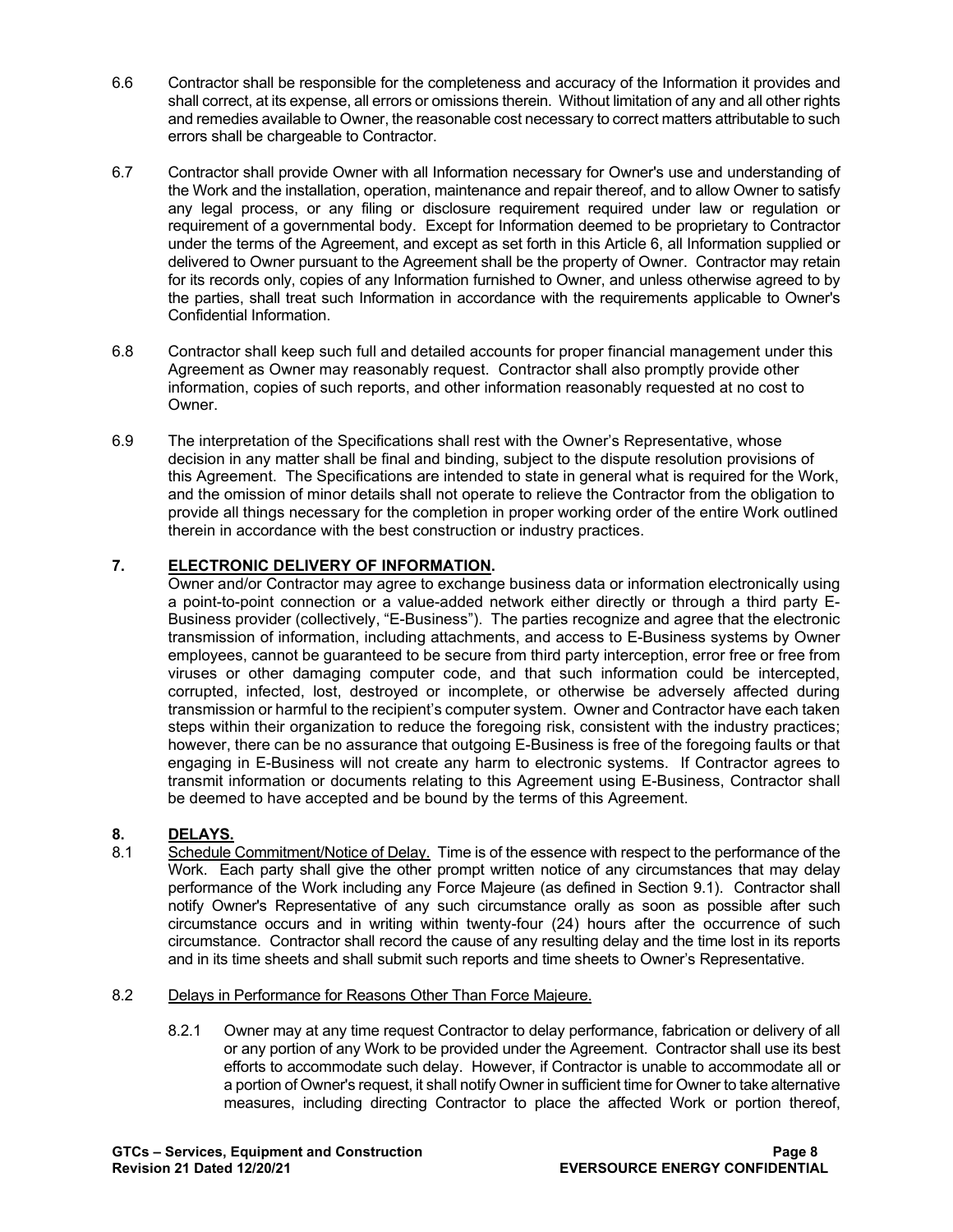- 6.6 Contractor shall be responsible for the completeness and accuracy of the Information it provides and shall correct, at its expense, all errors or omissions therein. Without limitation of any and all other rights and remedies available to Owner, the reasonable cost necessary to correct matters attributable to such errors shall be chargeable to Contractor.
- 6.7 Contractor shall provide Owner with all Information necessary for Owner's use and understanding of the Work and the installation, operation, maintenance and repair thereof, and to allow Owner to satisfy any legal process, or any filing or disclosure requirement required under law or regulation or requirement of a governmental body. Except for Information deemed to be proprietary to Contractor under the terms of the Agreement, and except as set forth in this Article 6, all Information supplied or delivered to Owner pursuant to the Agreement shall be the property of Owner. Contractor may retain for its records only, copies of any Information furnished to Owner, and unless otherwise agreed to by the parties, shall treat such Information in accordance with the requirements applicable to Owner's Confidential Information.
- 6.8 Contractor shall keep such full and detailed accounts for proper financial management under this Agreement as Owner may reasonably request. Contractor shall also promptly provide other information, copies of such reports, and other information reasonably requested at no cost to Owner.
- 6.9 The interpretation of the Specifications shall rest with the Owner's Representative, whose decision in any matter shall be final and binding, subject to the dispute resolution provisions of this Agreement. The Specifications are intended to state in general what is required for the Work, and the omission of minor details shall not operate to relieve the Contractor from the obligation to provide all things necessary for the completion in proper working order of the entire Work outlined therein in accordance with the best construction or industry practices.

# **7. ELECTRONIC DELIVERY OF INFORMATION.**

Owner and/or Contractor may agree to exchange business data or information electronically using a point-to-point connection or a value-added network either directly or through a third party E-Business provider (collectively, "E-Business"). The parties recognize and agree that the electronic transmission of information, including attachments, and access to E-Business systems by Owner employees, cannot be guaranteed to be secure from third party interception, error free or free from viruses or other damaging computer code, and that such information could be intercepted, corrupted, infected, lost, destroyed or incomplete, or otherwise be adversely affected during transmission or harmful to the recipient's computer system. Owner and Contractor have each taken steps within their organization to reduce the foregoing risk, consistent with the industry practices; however, there can be no assurance that outgoing E-Business is free of the foregoing faults or that engaging in E-Business will not create any harm to electronic systems. If Contractor agrees to transmit information or documents relating to this Agreement using E-Business, Contractor shall be deemed to have accepted and be bound by the terms of this Agreement.

# **8. DELAYS.**

Schedule Commitment/Notice of Delay. Time is of the essence with respect to the performance of the Work. Each party shall give the other prompt written notice of any circumstances that may delay performance of the Work including any Force Majeure (as defined in Section 9.1). Contractor shall notify Owner's Representative of any such circumstance orally as soon as possible after such circumstance occurs and in writing within twenty-four (24) hours after the occurrence of such circumstance. Contractor shall record the cause of any resulting delay and the time lost in its reports and in its time sheets and shall submit such reports and time sheets to Owner's Representative.

#### 8.2 Delays in Performance for Reasons Other Than Force Majeure.

8.2.1 Owner may at any time request Contractor to delay performance, fabrication or delivery of all or any portion of any Work to be provided under the Agreement. Contractor shall use its best efforts to accommodate such delay. However, if Contractor is unable to accommodate all or a portion of Owner's request, it shall notify Owner in sufficient time for Owner to take alternative measures, including directing Contractor to place the affected Work or portion thereof,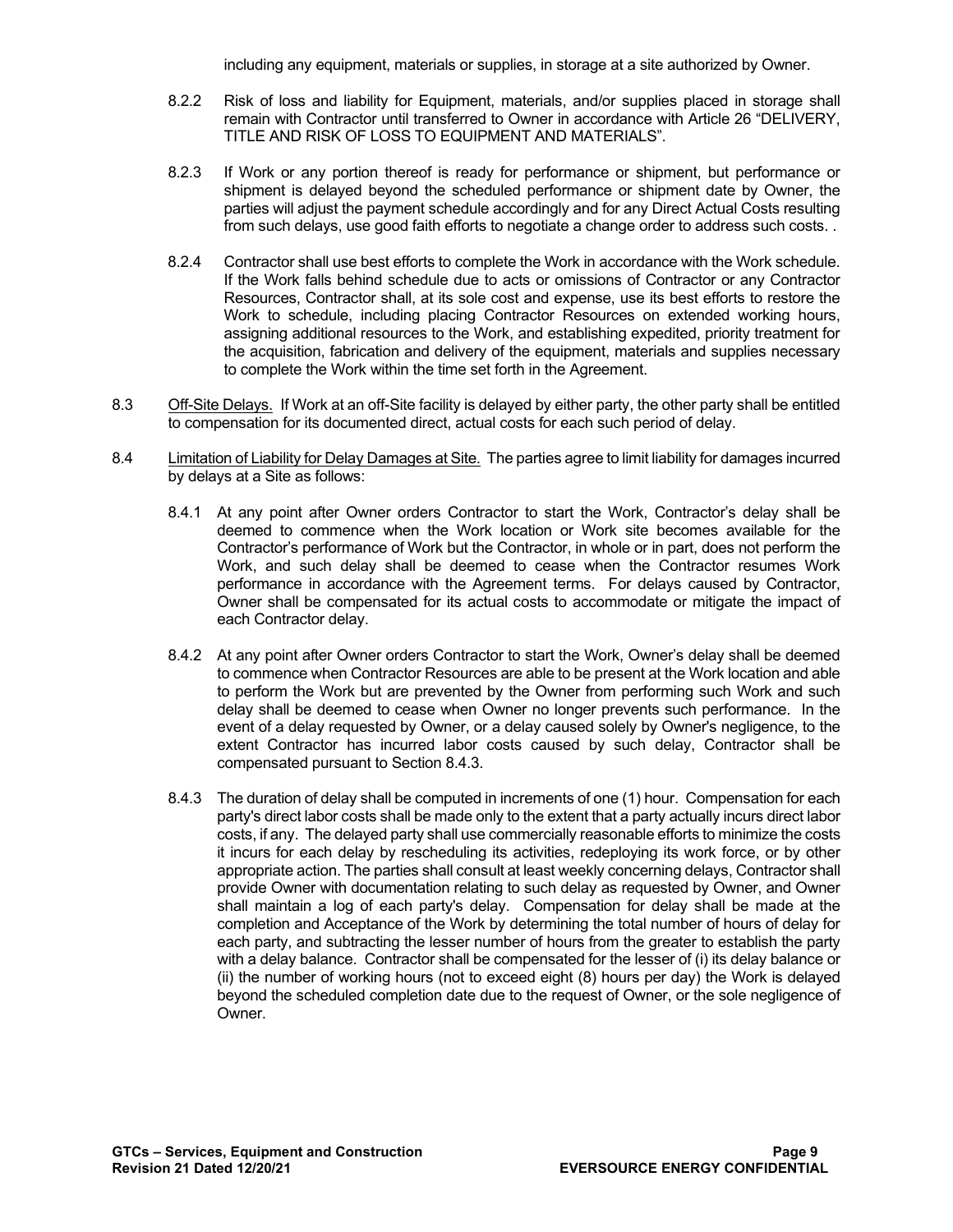including any equipment, materials or supplies, in storage at a site authorized by Owner.

- 8.2.2 Risk of loss and liability for Equipment, materials, and/or supplies placed in storage shall remain with Contractor until transferred to Owner in accordance with Article 26 "DELIVERY, TITLE AND RISK OF LOSS TO EQUIPMENT AND MATERIALS".
- 8.2.3 If Work or any portion thereof is ready for performance or shipment, but performance or shipment is delayed beyond the scheduled performance or shipment date by Owner, the parties will adjust the payment schedule accordingly and for any Direct Actual Costs resulting from such delays, use good faith efforts to negotiate a change order to address such costs. .
- 8.2.4 Contractor shall use best efforts to complete the Work in accordance with the Work schedule. If the Work falls behind schedule due to acts or omissions of Contractor or any Contractor Resources, Contractor shall, at its sole cost and expense, use its best efforts to restore the Work to schedule, including placing Contractor Resources on extended working hours, assigning additional resources to the Work, and establishing expedited, priority treatment for the acquisition, fabrication and delivery of the equipment, materials and supplies necessary to complete the Work within the time set forth in the Agreement.
- 8.3 Off-Site Delays. If Work at an off-Site facility is delayed by either party, the other party shall be entitled to compensation for its documented direct, actual costs for each such period of delay.
- 8.4 Limitation of Liability for Delay Damages at Site. The parties agree to limit liability for damages incurred by delays at a Site as follows:
	- 8.4.1 At any point after Owner orders Contractor to start the Work, Contractor's delay shall be deemed to commence when the Work location or Work site becomes available for the Contractor's performance of Work but the Contractor, in whole or in part, does not perform the Work, and such delay shall be deemed to cease when the Contractor resumes Work performance in accordance with the Agreement terms. For delays caused by Contractor, Owner shall be compensated for its actual costs to accommodate or mitigate the impact of each Contractor delay.
	- 8.4.2 At any point after Owner orders Contractor to start the Work, Owner's delay shall be deemed to commence when Contractor Resources are able to be present at the Work location and able to perform the Work but are prevented by the Owner from performing such Work and such delay shall be deemed to cease when Owner no longer prevents such performance. In the event of a delay requested by Owner, or a delay caused solely by Owner's negligence, to the extent Contractor has incurred labor costs caused by such delay, Contractor shall be compensated pursuant to Section 8.4.3.
	- 8.4.3 The duration of delay shall be computed in increments of one (1) hour. Compensation for each party's direct labor costs shall be made only to the extent that a party actually incurs direct labor costs, if any. The delayed party shall use commercially reasonable efforts to minimize the costs it incurs for each delay by rescheduling its activities, redeploying its work force, or by other appropriate action. The parties shall consult at least weekly concerning delays, Contractor shall provide Owner with documentation relating to such delay as requested by Owner, and Owner shall maintain a log of each party's delay. Compensation for delay shall be made at the completion and Acceptance of the Work by determining the total number of hours of delay for each party, and subtracting the lesser number of hours from the greater to establish the party with a delay balance. Contractor shall be compensated for the lesser of (i) its delay balance or (ii) the number of working hours (not to exceed eight (8) hours per day) the Work is delayed beyond the scheduled completion date due to the request of Owner, or the sole negligence of **Owner**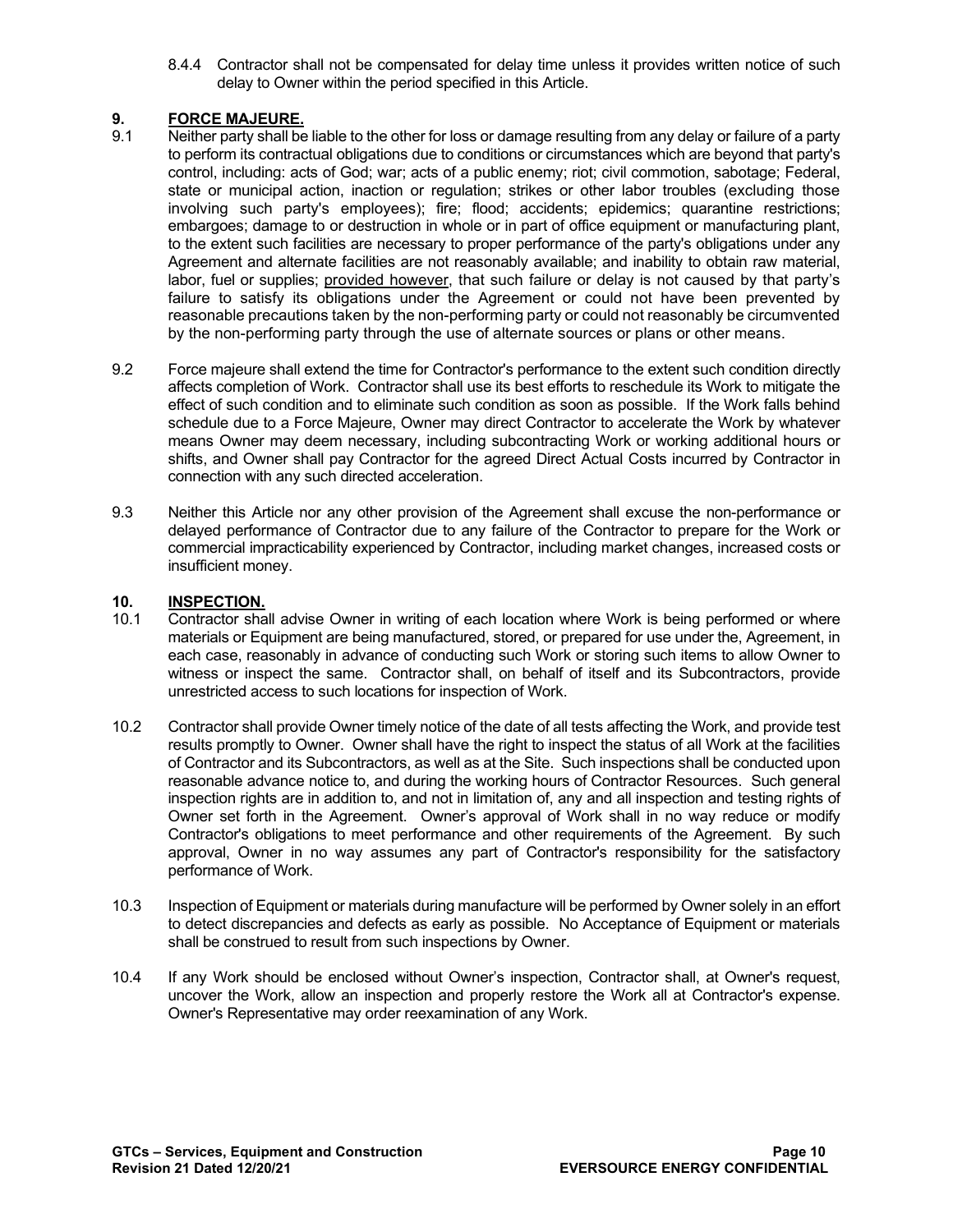8.4.4 Contractor shall not be compensated for delay time unless it provides written notice of such delay to Owner within the period specified in this Article.

# **9. FORCE MAJEURE.**

- Neither party shall be liable to the other for loss or damage resulting from any delay or failure of a party to perform its contractual obligations due to conditions or circumstances which are beyond that party's control, including: acts of God; war; acts of a public enemy; riot; civil commotion, sabotage; Federal, state or municipal action, inaction or regulation; strikes or other labor troubles (excluding those involving such party's employees); fire; flood; accidents; epidemics; quarantine restrictions; embargoes; damage to or destruction in whole or in part of office equipment or manufacturing plant, to the extent such facilities are necessary to proper performance of the party's obligations under any Agreement and alternate facilities are not reasonably available; and inability to obtain raw material, labor, fuel or supplies; provided however, that such failure or delay is not caused by that party's failure to satisfy its obligations under the Agreement or could not have been prevented by reasonable precautions taken by the non-performing party or could not reasonably be circumvented by the non-performing party through the use of alternate sources or plans or other means.
- 9.2 Force majeure shall extend the time for Contractor's performance to the extent such condition directly affects completion of Work. Contractor shall use its best efforts to reschedule its Work to mitigate the effect of such condition and to eliminate such condition as soon as possible. If the Work falls behind schedule due to a Force Majeure, Owner may direct Contractor to accelerate the Work by whatever means Owner may deem necessary, including subcontracting Work or working additional hours or shifts, and Owner shall pay Contractor for the agreed Direct Actual Costs incurred by Contractor in connection with any such directed acceleration.
- 9.3 Neither this Article nor any other provision of the Agreement shall excuse the non-performance or delayed performance of Contractor due to any failure of the Contractor to prepare for the Work or commercial impracticability experienced by Contractor, including market changes, increased costs or insufficient money.

# **10. INSPECTION.**

- 10.1 Contractor shall advise Owner in writing of each location where Work is being performed or where materials or Equipment are being manufactured, stored, or prepared for use under the, Agreement, in each case, reasonably in advance of conducting such Work or storing such items to allow Owner to witness or inspect the same. Contractor shall, on behalf of itself and its Subcontractors, provide unrestricted access to such locations for inspection of Work.
- 10.2 Contractor shall provide Owner timely notice of the date of all tests affecting the Work, and provide test results promptly to Owner. Owner shall have the right to inspect the status of all Work at the facilities of Contractor and its Subcontractors, as well as at the Site. Such inspections shall be conducted upon reasonable advance notice to, and during the working hours of Contractor Resources. Such general inspection rights are in addition to, and not in limitation of, any and all inspection and testing rights of Owner set forth in the Agreement. Owner's approval of Work shall in no way reduce or modify Contractor's obligations to meet performance and other requirements of the Agreement. By such approval, Owner in no way assumes any part of Contractor's responsibility for the satisfactory performance of Work.
- 10.3 Inspection of Equipment or materials during manufacture will be performed by Owner solely in an effort to detect discrepancies and defects as early as possible. No Acceptance of Equipment or materials shall be construed to result from such inspections by Owner.
- 10.4 If any Work should be enclosed without Owner's inspection, Contractor shall, at Owner's request, uncover the Work, allow an inspection and properly restore the Work all at Contractor's expense. Owner's Representative may order reexamination of any Work.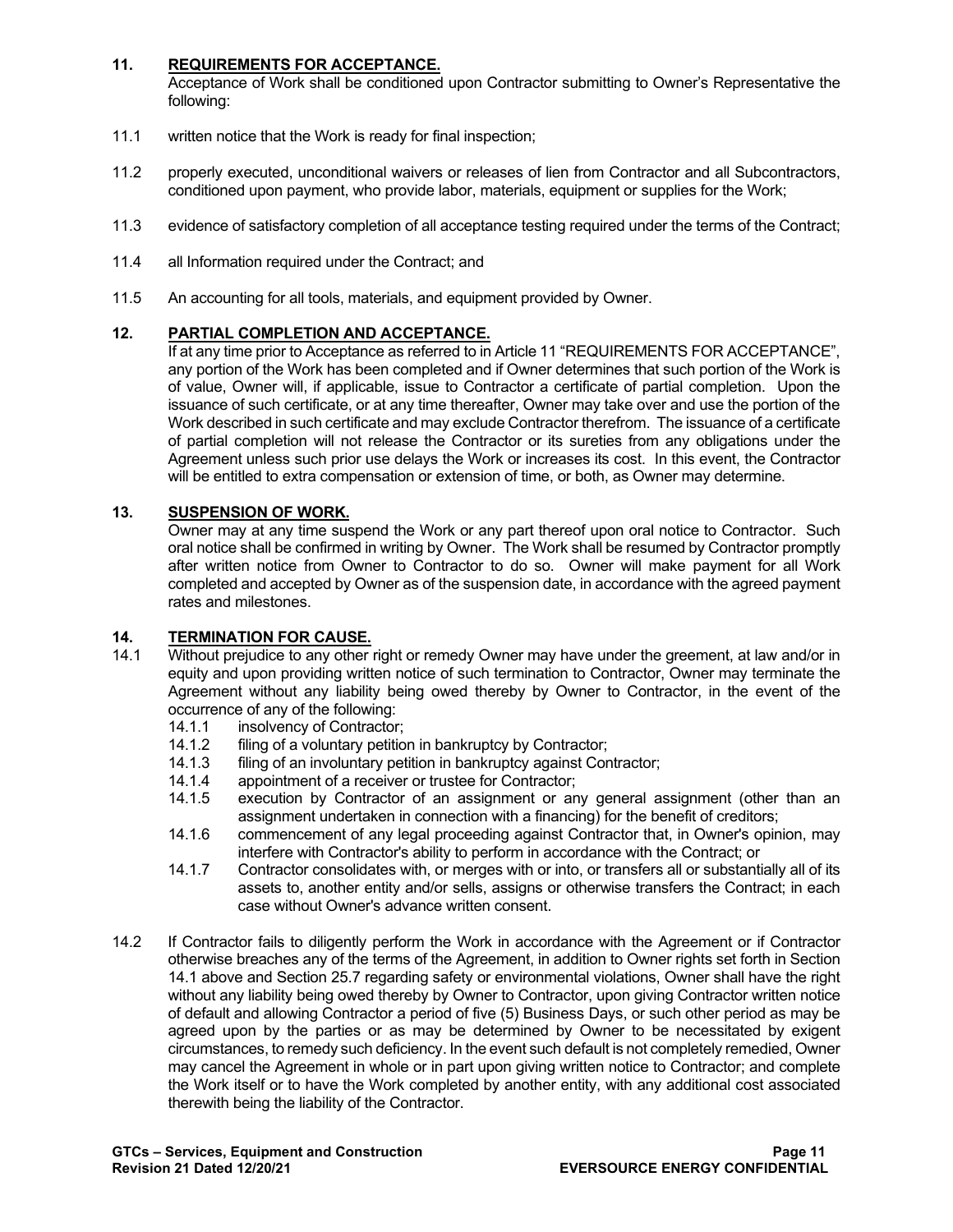# **11. REQUIREMENTS FOR ACCEPTANCE.**

Acceptance of Work shall be conditioned upon Contractor submitting to Owner's Representative the following:

- 11.1 written notice that the Work is ready for final inspection;
- 11.2 properly executed, unconditional waivers or releases of lien from Contractor and all Subcontractors, conditioned upon payment, who provide labor, materials, equipment or supplies for the Work;
- 11.3 evidence of satisfactory completion of all acceptance testing required under the terms of the Contract;
- 11.4 all Information required under the Contract; and
- 11.5 An accounting for all tools, materials, and equipment provided by Owner.

# **12. PARTIAL COMPLETION AND ACCEPTANCE.**

If at any time prior to Acceptance as referred to in Article 11 "REQUIREMENTS FOR ACCEPTANCE", any portion of the Work has been completed and if Owner determines that such portion of the Work is of value, Owner will, if applicable, issue to Contractor a certificate of partial completion. Upon the issuance of such certificate, or at any time thereafter, Owner may take over and use the portion of the Work described in such certificate and may exclude Contractor therefrom. The issuance of a certificate of partial completion will not release the Contractor or its sureties from any obligations under the Agreement unless such prior use delays the Work or increases its cost. In this event, the Contractor will be entitled to extra compensation or extension of time, or both, as Owner may determine.

# **13. SUSPENSION OF WORK.**

Owner may at any time suspend the Work or any part thereof upon oral notice to Contractor. Such oral notice shall be confirmed in writing by Owner. The Work shall be resumed by Contractor promptly after written notice from Owner to Contractor to do so. Owner will make payment for all Work completed and accepted by Owner as of the suspension date, in accordance with the agreed payment rates and milestones.

# **14. TERMINATION FOR CAUSE.**

- Without prejudice to any other right or remedy Owner may have under the greement, at law and/or in equity and upon providing written notice of such termination to Contractor, Owner may terminate the Agreement without any liability being owed thereby by Owner to Contractor, in the event of the occurrence of any of the following:
	- 14.1.1 insolvency of Contractor;<br>14.1.2 filing of a voluntary petitio
	- 14.1.2 filing of a voluntary petition in bankruptcy by Contractor;<br>14.1.3 filing of an involuntary petition in bankruptcy against Con
	- filing of an involuntary petition in bankruptcy against Contractor;
	- 14.1.4 appointment of a receiver or trustee for Contractor;<br>14.1.5 execution by Contractor of an assignment or an
	- execution by Contractor of an assignment or any general assignment (other than an assignment undertaken in connection with a financing) for the benefit of creditors;
	- 14.1.6 commencement of any legal proceeding against Contractor that, in Owner's opinion, may interfere with Contractor's ability to perform in accordance with the Contract; or
	- 14.1.7 Contractor consolidates with, or merges with or into, or transfers all or substantially all of its assets to, another entity and/or sells, assigns or otherwise transfers the Contract; in each case without Owner's advance written consent.
- 14.2 If Contractor fails to diligently perform the Work in accordance with the Agreement or if Contractor otherwise breaches any of the terms of the Agreement, in addition to Owner rights set forth in Section 14.1 above and Section 25.7 regarding safety or environmental violations, Owner shall have the right without any liability being owed thereby by Owner to Contractor, upon giving Contractor written notice of default and allowing Contractor a period of five (5) Business Days, or such other period as may be agreed upon by the parties or as may be determined by Owner to be necessitated by exigent circumstances, to remedy such deficiency. In the event such default is not completely remedied, Owner may cancel the Agreement in whole or in part upon giving written notice to Contractor; and complete the Work itself or to have the Work completed by another entity, with any additional cost associated therewith being the liability of the Contractor.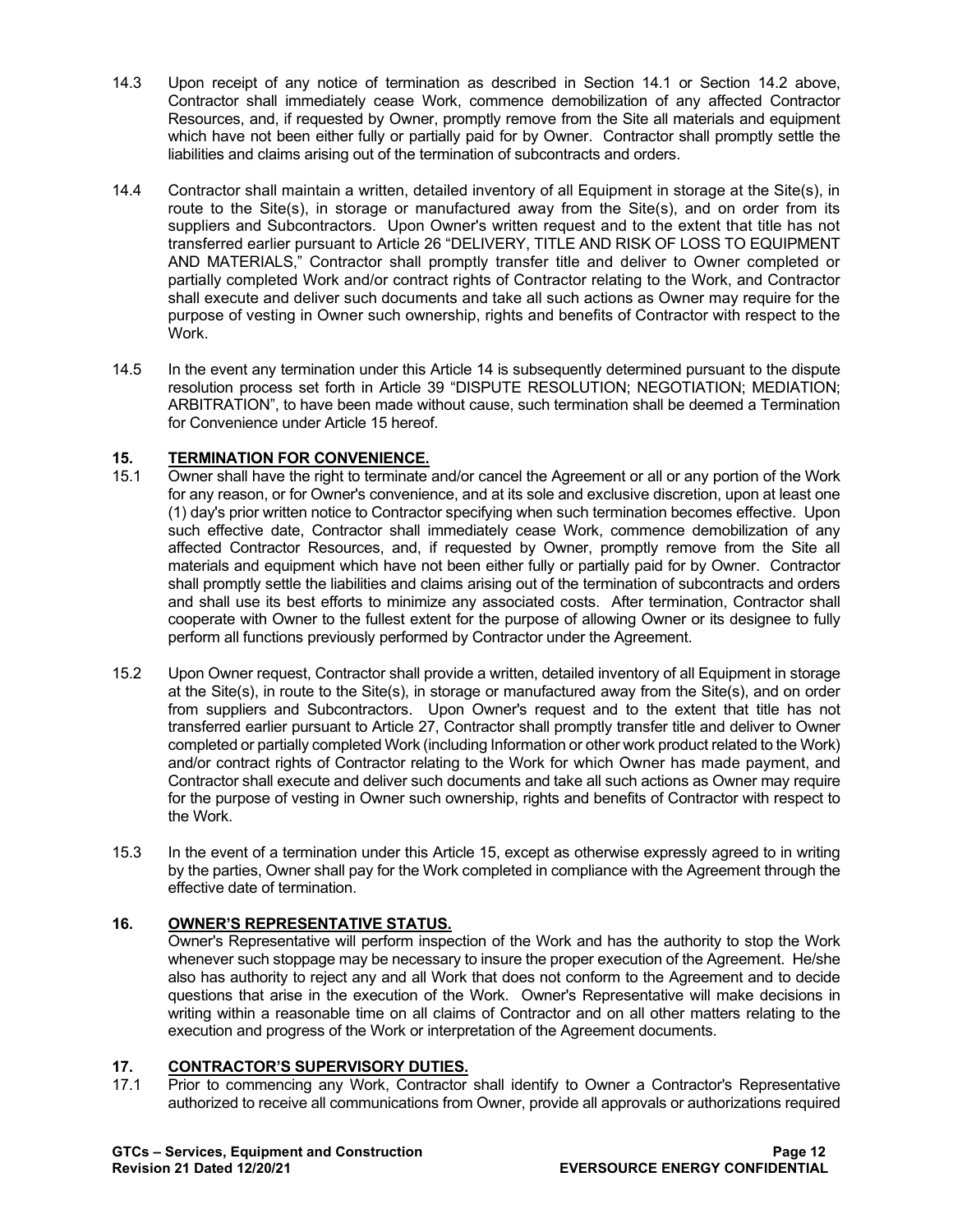- 14.3 Upon receipt of any notice of termination as described in Section 14.1 or Section 14.2 above, Contractor shall immediately cease Work, commence demobilization of any affected Contractor Resources, and, if requested by Owner, promptly remove from the Site all materials and equipment which have not been either fully or partially paid for by Owner. Contractor shall promptly settle the liabilities and claims arising out of the termination of subcontracts and orders.
- 14.4 Contractor shall maintain a written, detailed inventory of all Equipment in storage at the Site(s), in route to the Site(s), in storage or manufactured away from the Site(s), and on order from its suppliers and Subcontractors. Upon Owner's written request and to the extent that title has not transferred earlier pursuant to Article 26 "DELIVERY, TITLE AND RISK OF LOSS TO EQUIPMENT AND MATERIALS," Contractor shall promptly transfer title and deliver to Owner completed or partially completed Work and/or contract rights of Contractor relating to the Work, and Contractor shall execute and deliver such documents and take all such actions as Owner may require for the purpose of vesting in Owner such ownership, rights and benefits of Contractor with respect to the Work.
- 14.5 In the event any termination under this Article 14 is subsequently determined pursuant to the dispute resolution process set forth in Article 39 "DISPUTE RESOLUTION; NEGOTIATION; MEDIATION; ARBITRATION", to have been made without cause, such termination shall be deemed a Termination for Convenience under Article 15 hereof.

# **15. TERMINATION FOR CONVENIENCE.**

- 15.1 Owner shall have the right to terminate and/or cancel the Agreement or all or any portion of the Work for any reason, or for Owner's convenience, and at its sole and exclusive discretion, upon at least one (1) day's prior written notice to Contractor specifying when such termination becomes effective. Upon such effective date, Contractor shall immediately cease Work, commence demobilization of any affected Contractor Resources, and, if requested by Owner, promptly remove from the Site all materials and equipment which have not been either fully or partially paid for by Owner. Contractor shall promptly settle the liabilities and claims arising out of the termination of subcontracts and orders and shall use its best efforts to minimize any associated costs. After termination, Contractor shall cooperate with Owner to the fullest extent for the purpose of allowing Owner or its designee to fully perform all functions previously performed by Contractor under the Agreement.
- 15.2 Upon Owner request, Contractor shall provide a written, detailed inventory of all Equipment in storage at the Site(s), in route to the Site(s), in storage or manufactured away from the Site(s), and on order from suppliers and Subcontractors. Upon Owner's request and to the extent that title has not transferred earlier pursuant to Article 27, Contractor shall promptly transfer title and deliver to Owner completed or partially completed Work (including Information or other work product related to the Work) and/or contract rights of Contractor relating to the Work for which Owner has made payment, and Contractor shall execute and deliver such documents and take all such actions as Owner may require for the purpose of vesting in Owner such ownership, rights and benefits of Contractor with respect to the Work.
- 15.3 In the event of a termination under this Article 15, except as otherwise expressly agreed to in writing by the parties, Owner shall pay for the Work completed in compliance with the Agreement through the effective date of termination.

# **16. OWNER'S REPRESENTATIVE STATUS.**

Owner's Representative will perform inspection of the Work and has the authority to stop the Work whenever such stoppage may be necessary to insure the proper execution of the Agreement. He/she also has authority to reject any and all Work that does not conform to the Agreement and to decide questions that arise in the execution of the Work. Owner's Representative will make decisions in writing within a reasonable time on all claims of Contractor and on all other matters relating to the execution and progress of the Work or interpretation of the Agreement documents.

# **17. CONTRACTOR'S SUPERVISORY DUTIES.**

Prior to commencing any Work, Contractor shall identify to Owner a Contractor's Representative authorized to receive all communications from Owner, provide all approvals or authorizations required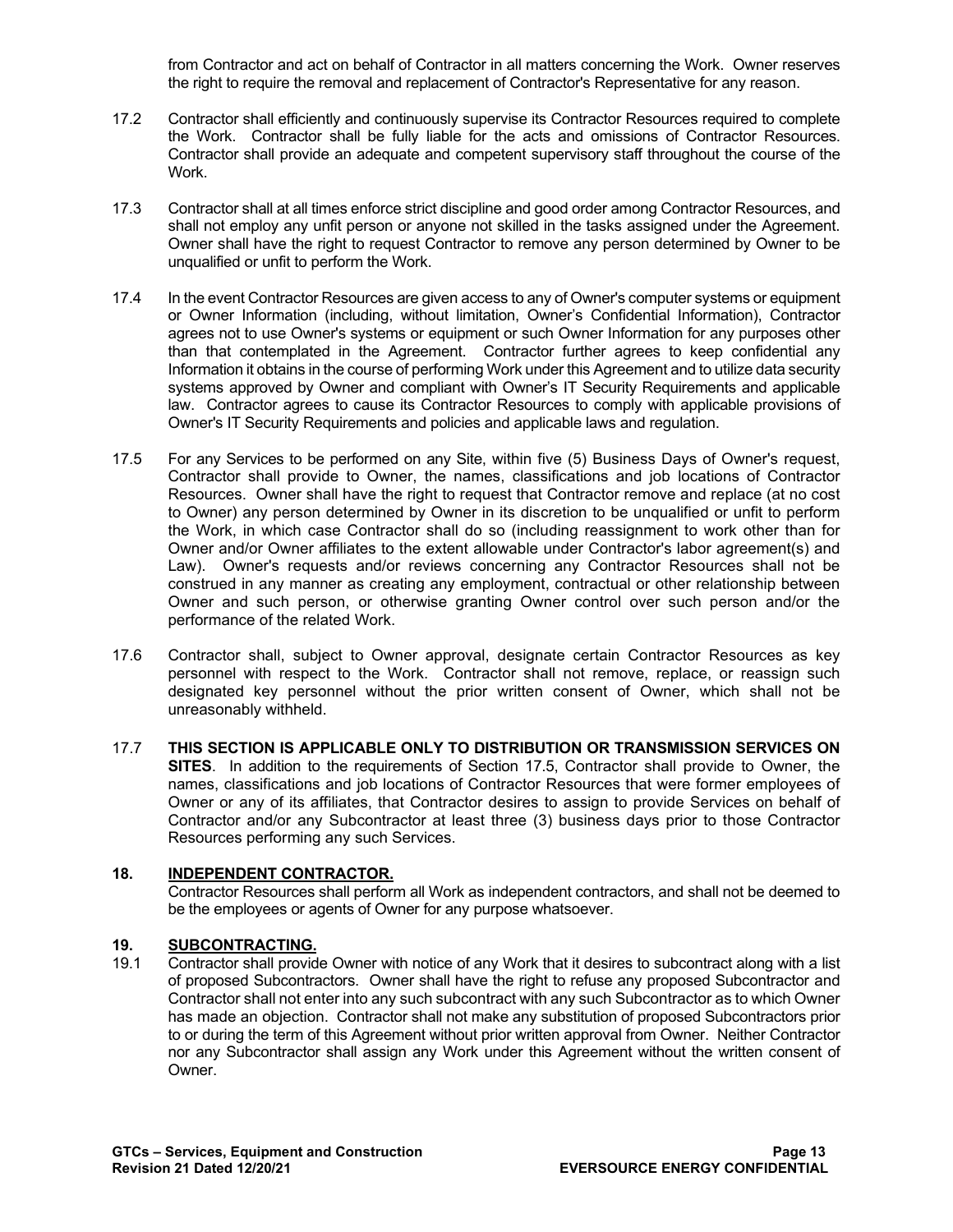from Contractor and act on behalf of Contractor in all matters concerning the Work. Owner reserves the right to require the removal and replacement of Contractor's Representative for any reason.

- 17.2 Contractor shall efficiently and continuously supervise its Contractor Resources required to complete the Work. Contractor shall be fully liable for the acts and omissions of Contractor Resources. Contractor shall provide an adequate and competent supervisory staff throughout the course of the Work.
- 17.3 Contractor shall at all times enforce strict discipline and good order among Contractor Resources, and shall not employ any unfit person or anyone not skilled in the tasks assigned under the Agreement. Owner shall have the right to request Contractor to remove any person determined by Owner to be unqualified or unfit to perform the Work.
- 17.4 In the event Contractor Resources are given access to any of Owner's computer systems or equipment or Owner Information (including, without limitation, Owner's Confidential Information), Contractor agrees not to use Owner's systems or equipment or such Owner Information for any purposes other than that contemplated in the Agreement. Contractor further agrees to keep confidential any Information it obtains in the course of performing Work under this Agreement and to utilize data security systems approved by Owner and compliant with Owner's IT Security Requirements and applicable law. Contractor agrees to cause its Contractor Resources to comply with applicable provisions of Owner's IT Security Requirements and policies and applicable laws and regulation.
- 17.5 For any Services to be performed on any Site, within five (5) Business Days of Owner's request, Contractor shall provide to Owner, the names, classifications and job locations of Contractor Resources. Owner shall have the right to request that Contractor remove and replace (at no cost to Owner) any person determined by Owner in its discretion to be unqualified or unfit to perform the Work, in which case Contractor shall do so (including reassignment to work other than for Owner and/or Owner affiliates to the extent allowable under Contractor's labor agreement(s) and Law). Owner's requests and/or reviews concerning any Contractor Resources shall not be construed in any manner as creating any employment, contractual or other relationship between Owner and such person, or otherwise granting Owner control over such person and/or the performance of the related Work.
- 17.6 Contractor shall, subject to Owner approval, designate certain Contractor Resources as key personnel with respect to the Work. Contractor shall not remove, replace, or reassign such designated key personnel without the prior written consent of Owner, which shall not be unreasonably withheld.
- 17.7 **THIS SECTION IS APPLICABLE ONLY TO DISTRIBUTION OR TRANSMISSION SERVICES ON SITES**. In addition to the requirements of Section 17.5, Contractor shall provide to Owner, the names, classifications and job locations of Contractor Resources that were former employees of Owner or any of its affiliates, that Contractor desires to assign to provide Services on behalf of Contractor and/or any Subcontractor at least three (3) business days prior to those Contractor Resources performing any such Services.

# **18. INDEPENDENT CONTRACTOR.**

Contractor Resources shall perform all Work as independent contractors, and shall not be deemed to be the employees or agents of Owner for any purpose whatsoever.

# **19.1 Contractive Contractive Contractor shall provided**

19.1 Contractor shall provide Owner with notice of any Work that it desires to subcontract along with a list of proposed Subcontractors. Owner shall have the right to refuse any proposed Subcontractor and Contractor shall not enter into any such subcontract with any such Subcontractor as to which Owner has made an objection. Contractor shall not make any substitution of proposed Subcontractors prior to or during the term of this Agreement without prior written approval from Owner. Neither Contractor nor any Subcontractor shall assign any Work under this Agreement without the written consent of Owner.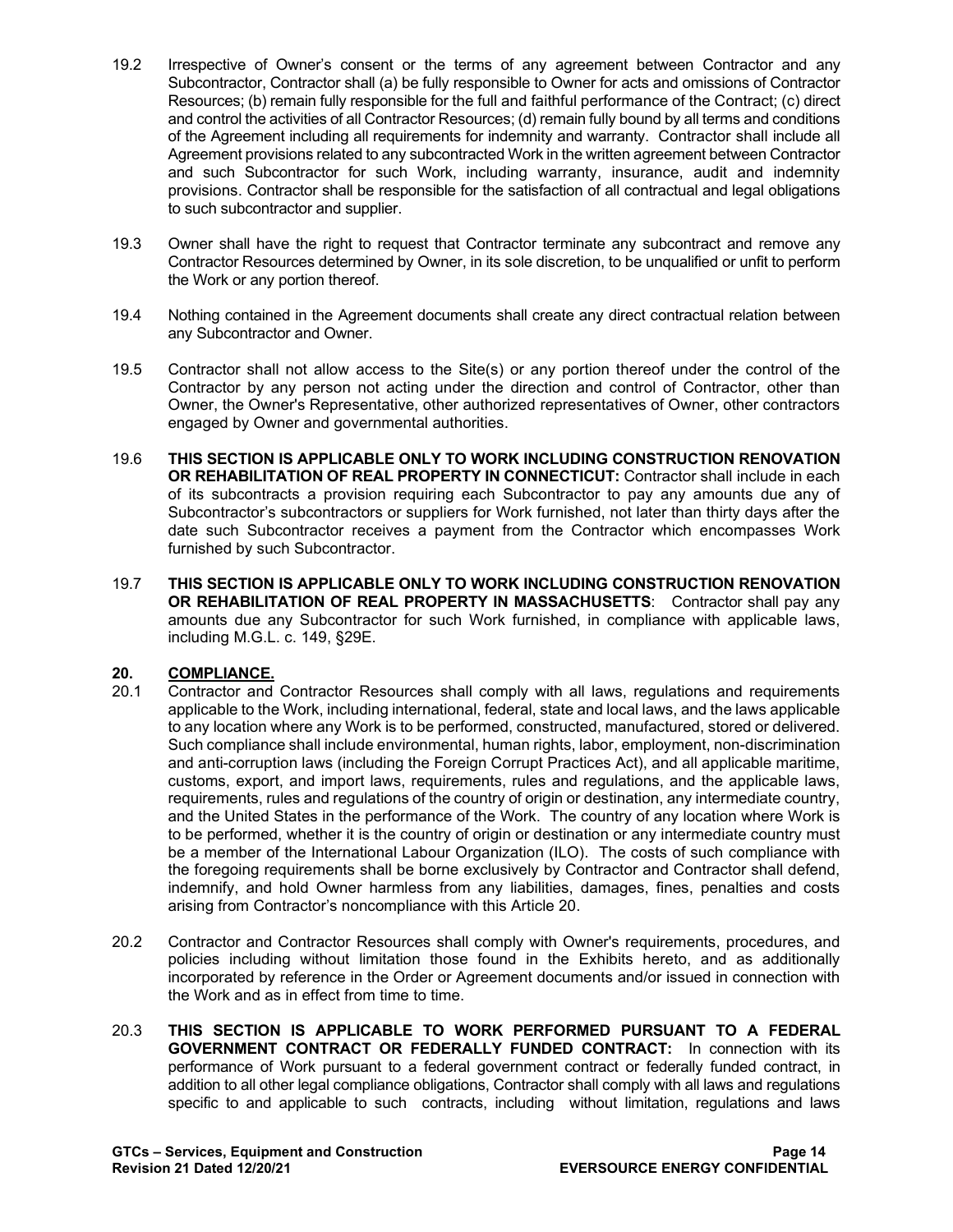- 19.2 Irrespective of Owner's consent or the terms of any agreement between Contractor and any Subcontractor, Contractor shall (a) be fully responsible to Owner for acts and omissions of Contractor Resources; (b) remain fully responsible for the full and faithful performance of the Contract; (c) direct and control the activities of all Contractor Resources; (d) remain fully bound by all terms and conditions of the Agreement including all requirements for indemnity and warranty. Contractor shall include all Agreement provisions related to any subcontracted Work in the written agreement between Contractor and such Subcontractor for such Work, including warranty, insurance, audit and indemnity provisions. Contractor shall be responsible for the satisfaction of all contractual and legal obligations to such subcontractor and supplier.
- 19.3 Owner shall have the right to request that Contractor terminate any subcontract and remove any Contractor Resources determined by Owner, in its sole discretion, to be unqualified or unfit to perform the Work or any portion thereof.
- 19.4 Nothing contained in the Agreement documents shall create any direct contractual relation between any Subcontractor and Owner.
- 19.5 Contractor shall not allow access to the Site(s) or any portion thereof under the control of the Contractor by any person not acting under the direction and control of Contractor, other than Owner, the Owner's Representative, other authorized representatives of Owner, other contractors engaged by Owner and governmental authorities.
- 19.6 **THIS SECTION IS APPLICABLE ONLY TO WORK INCLUDING CONSTRUCTION RENOVATION OR REHABILITATION OF REAL PROPERTY IN CONNECTICUT:** Contractor shall include in each of its subcontracts a provision requiring each Subcontractor to pay any amounts due any of Subcontractor's subcontractors or suppliers for Work furnished, not later than thirty days after the date such Subcontractor receives a payment from the Contractor which encompasses Work furnished by such Subcontractor.
- 19.7 **THIS SECTION IS APPLICABLE ONLY TO WORK INCLUDING CONSTRUCTION RENOVATION OR REHABILITATION OF REAL PROPERTY IN MASSACHUSETTS:** Contractor shall pay any amounts due any Subcontractor for such Work furnished, in compliance with applicable laws, including M.G.L. c. 149, §29E.

# 20. **COMPLIANCE.**<br>20.1 Contractor and

- 20.1 Contractor and Contractor Resources shall comply with all laws, regulations and requirements applicable to the Work, including international, federal, state and local laws, and the laws applicable to any location where any Work is to be performed, constructed, manufactured, stored or delivered. Such compliance shall include environmental, human rights, labor, employment, non-discrimination and anti-corruption laws (including the Foreign Corrupt Practices Act), and all applicable maritime, customs, export, and import laws, requirements, rules and regulations, and the applicable laws, requirements, rules and regulations of the country of origin or destination, any intermediate country, and the United States in the performance of the Work. The country of any location where Work is to be performed, whether it is the country of origin or destination or any intermediate country must be a member of the International Labour Organization (ILO). The costs of such compliance with the foregoing requirements shall be borne exclusively by Contractor and Contractor shall defend, indemnify, and hold Owner harmless from any liabilities, damages, fines, penalties and costs arising from Contractor's noncompliance with this Article 20.
- 20.2 Contractor and Contractor Resources shall comply with Owner's requirements, procedures, and policies including without limitation those found in the Exhibits hereto, and as additionally incorporated by reference in the Order or Agreement documents and/or issued in connection with the Work and as in effect from time to time.
- 20.3 **THIS SECTION IS APPLICABLE TO WORK PERFORMED PURSUANT TO A FEDERAL GOVERNMENT CONTRACT OR FEDERALLY FUNDED CONTRACT:** In connection with its performance of Work pursuant to a federal government contract or federally funded contract, in addition to all other legal compliance obligations, Contractor shall comply with all laws and regulations specific to and applicable to such contracts, including without limitation, regulations and laws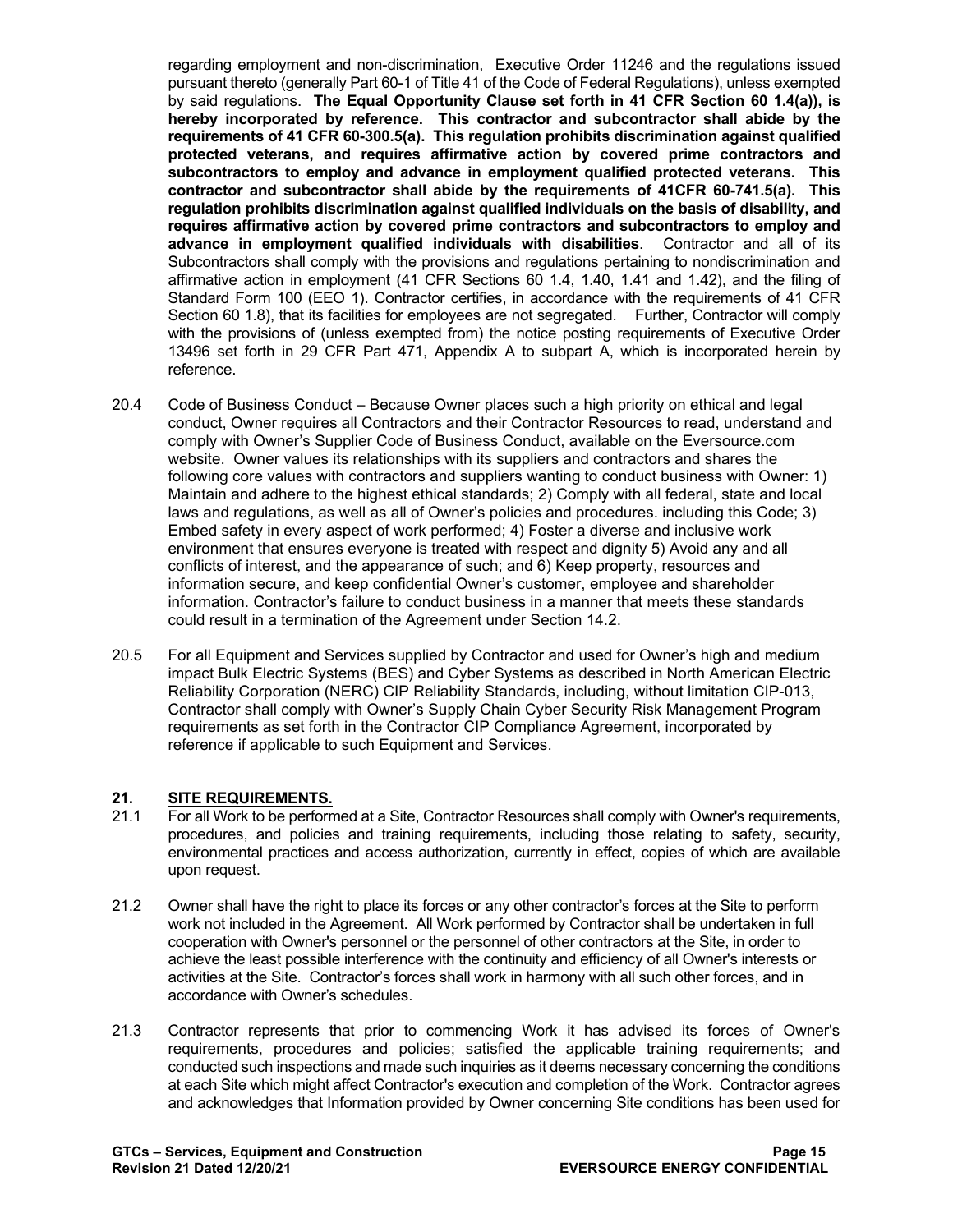regarding employment and non-discrimination, Executive Order 11246 and the regulations issued pursuant thereto (generally Part 60-1 of Title 41 of the Code of Federal Regulations), unless exempted by said regulations. **The Equal Opportunity Clause set forth in 41 CFR Section 60 1.4(a)), is hereby incorporated by reference. This contractor and subcontractor shall abide by the requirements of 41 CFR 60-300.5(a). This regulation prohibits discrimination against qualified protected veterans, and requires affirmative action by covered prime contractors and subcontractors to employ and advance in employment qualified protected veterans. This contractor and subcontractor shall abide by the requirements of 41CFR 60-741.5(a). This regulation prohibits discrimination against qualified individuals on the basis of disability, and requires affirmative action by covered prime contractors and subcontractors to employ and advance in employment qualified individuals with disabilities**. Contractor and all of its Subcontractors shall comply with the provisions and regulations pertaining to nondiscrimination and affirmative action in employment (41 CFR Sections 60 1.4, 1.40, 1.41 and 1.42), and the filing of Standard Form 100 (EEO 1). Contractor certifies, in accordance with the requirements of 41 CFR Section 60 1.8), that its facilities for employees are not segregated. Further, Contractor will comply with the provisions of (unless exempted from) the notice posting requirements of Executive Order 13496 set forth in 29 CFR Part 471, Appendix A to subpart A, which is incorporated herein by reference.

- 20.4 Code of Business Conduct Because Owner places such a high priority on ethical and legal conduct, Owner requires all Contractors and their Contractor Resources to read, understand and comply with Owner's Supplier Code of Business Conduct, available on the Eversource.com website. Owner values its relationships with its suppliers and contractors and shares the following core values with contractors and suppliers wanting to conduct business with Owner: 1) Maintain and adhere to the highest ethical standards; 2) Comply with all federal, state and local laws and regulations, as well as all of Owner's policies and procedures. including this Code; 3) Embed safety in every aspect of work performed; 4) Foster a diverse and inclusive work environment that ensures everyone is treated with respect and dignity 5) Avoid any and all conflicts of interest, and the appearance of such; and 6) Keep property, resources and information secure, and keep confidential Owner's customer, employee and shareholder information. Contractor's failure to conduct business in a manner that meets these standards could result in a termination of the Agreement under Section 14.2.
- 20.5 For all Equipment and Services supplied by Contractor and used for Owner's high and medium impact Bulk Electric Systems (BES) and Cyber Systems as described in North American Electric Reliability Corporation (NERC) CIP Reliability Standards, including, without limitation CIP-013, Contractor shall comply with Owner's Supply Chain Cyber Security Risk Management Program requirements as set forth in the Contractor CIP Compliance Agreement, incorporated by reference if applicable to such Equipment and Services.

# 21. **SITE REQUIREMENTS.**<br>21.1 For all Work to be perform

- 21.1 For all Work to be performed at a Site, Contractor Resources shall comply with Owner's requirements, procedures, and policies and training requirements, including those relating to safety, security, environmental practices and access authorization, currently in effect, copies of which are available upon request.
- 21.2 Owner shall have the right to place its forces or any other contractor's forces at the Site to perform work not included in the Agreement. All Work performed by Contractor shall be undertaken in full cooperation with Owner's personnel or the personnel of other contractors at the Site, in order to achieve the least possible interference with the continuity and efficiency of all Owner's interests or activities at the Site. Contractor's forces shall work in harmony with all such other forces, and in accordance with Owner's schedules.
- 21.3 Contractor represents that prior to commencing Work it has advised its forces of Owner's requirements, procedures and policies; satisfied the applicable training requirements; and conducted such inspections and made such inquiries as it deems necessary concerning the conditions at each Site which might affect Contractor's execution and completion of the Work. Contractor agrees and acknowledges that Information provided by Owner concerning Site conditions has been used for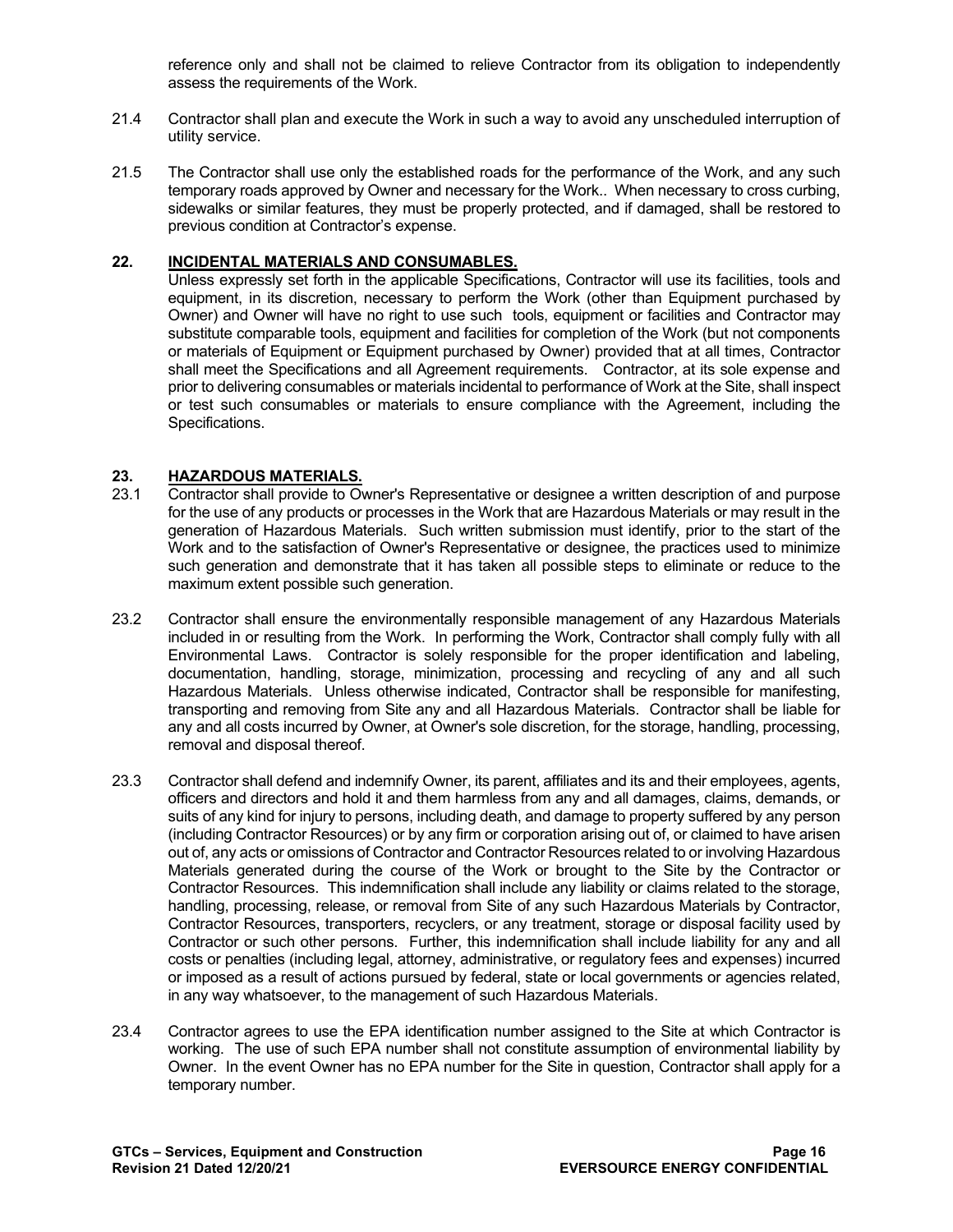reference only and shall not be claimed to relieve Contractor from its obligation to independently assess the requirements of the Work.

- 21.4 Contractor shall plan and execute the Work in such a way to avoid any unscheduled interruption of utility service.
- 21.5 The Contractor shall use only the established roads for the performance of the Work, and any such temporary roads approved by Owner and necessary for the Work.. When necessary to cross curbing, sidewalks or similar features, they must be properly protected, and if damaged, shall be restored to previous condition at Contractor's expense.

# **22. INCIDENTAL MATERIALS AND CONSUMABLES.**

Unless expressly set forth in the applicable Specifications, Contractor will use its facilities, tools and equipment, in its discretion, necessary to perform the Work (other than Equipment purchased by Owner) and Owner will have no right to use such tools, equipment or facilities and Contractor may substitute comparable tools, equipment and facilities for completion of the Work (but not components or materials of Equipment or Equipment purchased by Owner) provided that at all times, Contractor shall meet the Specifications and all Agreement requirements. Contractor, at its sole expense and prior to delivering consumables or materials incidental to performance of Work at the Site, shall inspect or test such consumables or materials to ensure compliance with the Agreement, including the Specifications.

# 23. **HAZARDOUS MATERIALS.**<br>23.1 Contractor shall provide to Ov

- Contractor shall provide to Owner's Representative or designee a written description of and purpose for the use of any products or processes in the Work that are Hazardous Materials or may result in the generation of Hazardous Materials. Such written submission must identify, prior to the start of the Work and to the satisfaction of Owner's Representative or designee, the practices used to minimize such generation and demonstrate that it has taken all possible steps to eliminate or reduce to the maximum extent possible such generation.
- 23.2 Contractor shall ensure the environmentally responsible management of any Hazardous Materials included in or resulting from the Work. In performing the Work, Contractor shall comply fully with all Environmental Laws. Contractor is solely responsible for the proper identification and labeling, documentation, handling, storage, minimization, processing and recycling of any and all such Hazardous Materials. Unless otherwise indicated, Contractor shall be responsible for manifesting, transporting and removing from Site any and all Hazardous Materials. Contractor shall be liable for any and all costs incurred by Owner, at Owner's sole discretion, for the storage, handling, processing, removal and disposal thereof.
- 23.3 Contractor shall defend and indemnify Owner, its parent, affiliates and its and their employees, agents, officers and directors and hold it and them harmless from any and all damages, claims, demands, or suits of any kind for injury to persons, including death, and damage to property suffered by any person (including Contractor Resources) or by any firm or corporation arising out of, or claimed to have arisen out of, any acts or omissions of Contractor and Contractor Resources related to or involving Hazardous Materials generated during the course of the Work or brought to the Site by the Contractor or Contractor Resources. This indemnification shall include any liability or claims related to the storage, handling, processing, release, or removal from Site of any such Hazardous Materials by Contractor, Contractor Resources, transporters, recyclers, or any treatment, storage or disposal facility used by Contractor or such other persons. Further, this indemnification shall include liability for any and all costs or penalties (including legal, attorney, administrative, or regulatory fees and expenses) incurred or imposed as a result of actions pursued by federal, state or local governments or agencies related, in any way whatsoever, to the management of such Hazardous Materials.
- 23.4 Contractor agrees to use the EPA identification number assigned to the Site at which Contractor is working. The use of such EPA number shall not constitute assumption of environmental liability by Owner. In the event Owner has no EPA number for the Site in question, Contractor shall apply for a temporary number.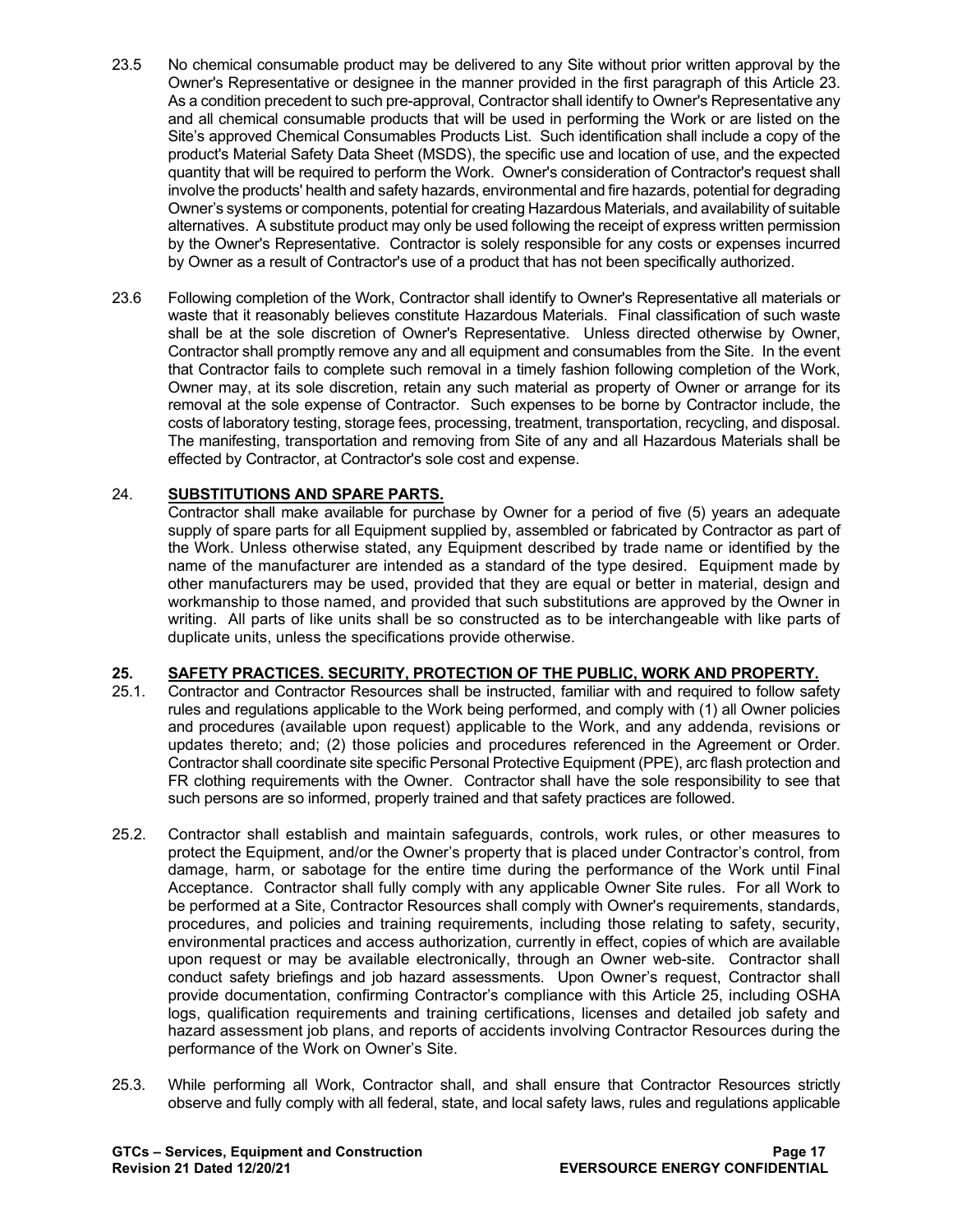- 23.5 No chemical consumable product may be delivered to any Site without prior written approval by the Owner's Representative or designee in the manner provided in the first paragraph of this Article 23. As a condition precedent to such pre-approval, Contractor shall identify to Owner's Representative any and all chemical consumable products that will be used in performing the Work or are listed on the Site's approved Chemical Consumables Products List. Such identification shall include a copy of the product's Material Safety Data Sheet (MSDS), the specific use and location of use, and the expected quantity that will be required to perform the Work. Owner's consideration of Contractor's request shall involve the products' health and safety hazards, environmental and fire hazards, potential for degrading Owner's systems or components, potential for creating Hazardous Materials, and availability of suitable alternatives. A substitute product may only be used following the receipt of express written permission by the Owner's Representative. Contractor is solely responsible for any costs or expenses incurred by Owner as a result of Contractor's use of a product that has not been specifically authorized.
- 23.6 Following completion of the Work, Contractor shall identify to Owner's Representative all materials or waste that it reasonably believes constitute Hazardous Materials. Final classification of such waste shall be at the sole discretion of Owner's Representative. Unless directed otherwise by Owner, Contractor shall promptly remove any and all equipment and consumables from the Site. In the event that Contractor fails to complete such removal in a timely fashion following completion of the Work, Owner may, at its sole discretion, retain any such material as property of Owner or arrange for its removal at the sole expense of Contractor. Such expenses to be borne by Contractor include, the costs of laboratory testing, storage fees, processing, treatment, transportation, recycling, and disposal. The manifesting, transportation and removing from Site of any and all Hazardous Materials shall be effected by Contractor, at Contractor's sole cost and expense.

# 24. **SUBSTITUTIONS AND SPARE PARTS.**

Contractor shall make available for purchase by Owner for a period of five (5) years an adequate supply of spare parts for all Equipment supplied by, assembled or fabricated by Contractor as part of the Work. Unless otherwise stated, any Equipment described by trade name or identified by the name of the manufacturer are intended as a standard of the type desired. Equipment made by other manufacturers may be used, provided that they are equal or better in material, design and workmanship to those named, and provided that such substitutions are approved by the Owner in writing. All parts of like units shall be so constructed as to be interchangeable with like parts of duplicate units, unless the specifications provide otherwise.

# **25. SAFETY PRACTICES. SECURITY, PROTECTION OF THE PUBLIC, WORK AND PROPERTY.**

- 25.1. Contractor and Contractor Resources shall be instructed, familiar with and required to follow safety rules and regulations applicable to the Work being performed, and comply with (1) all Owner policies and procedures (available upon request) applicable to the Work, and any addenda, revisions or updates thereto; and; (2) those policies and procedures referenced in the Agreement or Order. Contractor shall coordinate site specific Personal Protective Equipment (PPE), arc flash protection and FR clothing requirements with the Owner. Contractor shall have the sole responsibility to see that such persons are so informed, properly trained and that safety practices are followed.
- 25.2. Contractor shall establish and maintain safeguards, controls, work rules, or other measures to protect the Equipment, and/or the Owner's property that is placed under Contractor's control, from damage, harm, or sabotage for the entire time during the performance of the Work until Final Acceptance. Contractor shall fully comply with any applicable Owner Site rules. For all Work to be performed at a Site, Contractor Resources shall comply with Owner's requirements, standards, procedures, and policies and training requirements, including those relating to safety, security, environmental practices and access authorization, currently in effect, copies of which are available upon request or may be available electronically, through an Owner web-site. Contractor shall conduct safety briefings and job hazard assessments. Upon Owner's request, Contractor shall provide documentation, confirming Contractor's compliance with this Article 25, including OSHA logs, qualification requirements and training certifications, licenses and detailed job safety and hazard assessment job plans, and reports of accidents involving Contractor Resources during the performance of the Work on Owner's Site.
- 25.3. While performing all Work, Contractor shall, and shall ensure that Contractor Resources strictly observe and fully comply with all federal, state, and local safety laws, rules and regulations applicable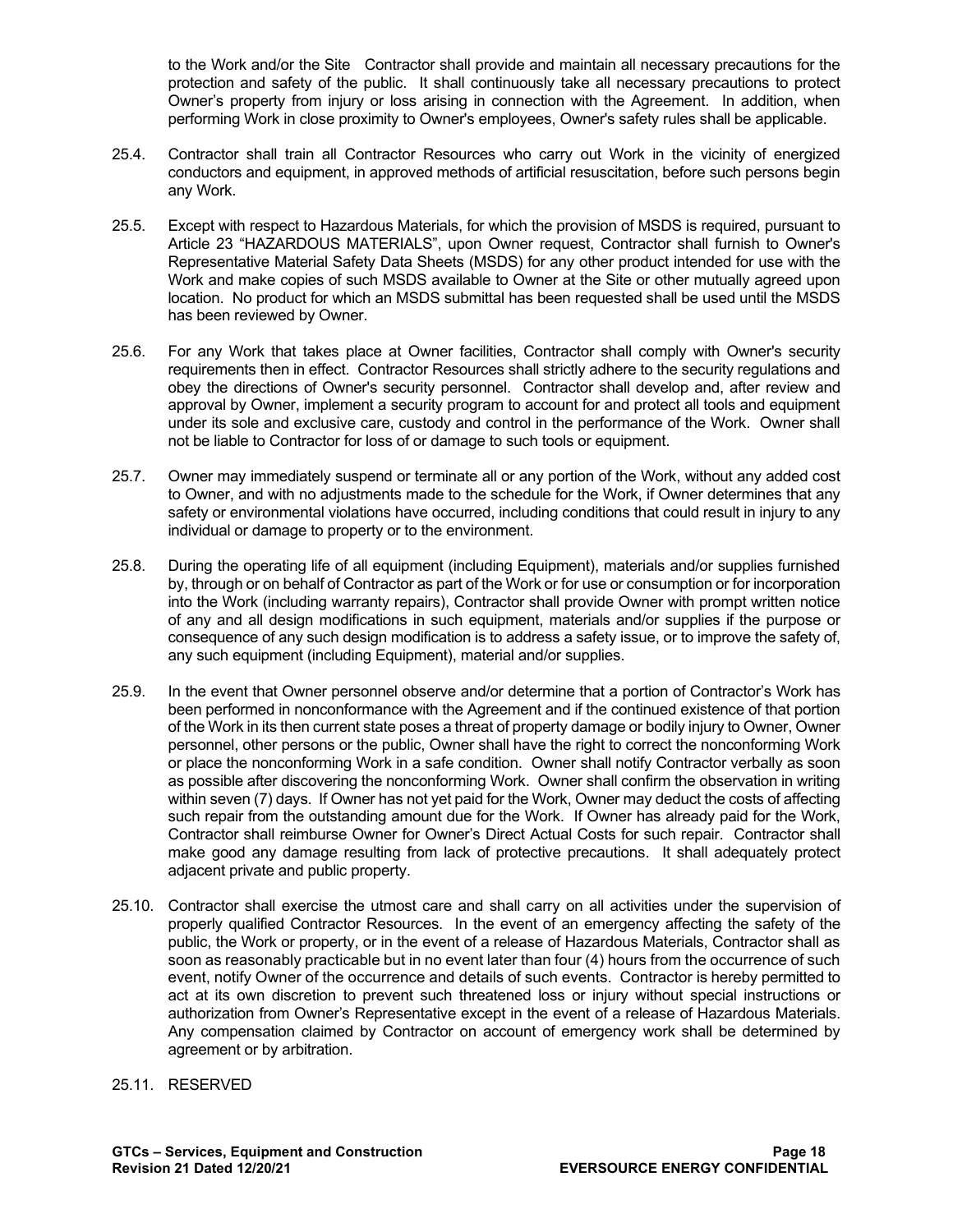to the Work and/or the Site Contractor shall provide and maintain all necessary precautions for the protection and safety of the public. It shall continuously take all necessary precautions to protect Owner's property from injury or loss arising in connection with the Agreement. In addition, when performing Work in close proximity to Owner's employees, Owner's safety rules shall be applicable.

- 25.4. Contractor shall train all Contractor Resources who carry out Work in the vicinity of energized conductors and equipment, in approved methods of artificial resuscitation, before such persons begin any Work.
- 25.5. Except with respect to Hazardous Materials, for which the provision of MSDS is required, pursuant to Article 23 "HAZARDOUS MATERIALS", upon Owner request, Contractor shall furnish to Owner's Representative Material Safety Data Sheets (MSDS) for any other product intended for use with the Work and make copies of such MSDS available to Owner at the Site or other mutually agreed upon location. No product for which an MSDS submittal has been requested shall be used until the MSDS has been reviewed by Owner.
- 25.6. For any Work that takes place at Owner facilities, Contractor shall comply with Owner's security requirements then in effect. Contractor Resources shall strictly adhere to the security regulations and obey the directions of Owner's security personnel. Contractor shall develop and, after review and approval by Owner, implement a security program to account for and protect all tools and equipment under its sole and exclusive care, custody and control in the performance of the Work. Owner shall not be liable to Contractor for loss of or damage to such tools or equipment.
- 25.7. Owner may immediately suspend or terminate all or any portion of the Work, without any added cost to Owner, and with no adjustments made to the schedule for the Work, if Owner determines that any safety or environmental violations have occurred, including conditions that could result in injury to any individual or damage to property or to the environment.
- 25.8. During the operating life of all equipment (including Equipment), materials and/or supplies furnished by, through or on behalf of Contractor as part of the Work or for use or consumption or for incorporation into the Work (including warranty repairs), Contractor shall provide Owner with prompt written notice of any and all design modifications in such equipment, materials and/or supplies if the purpose or consequence of any such design modification is to address a safety issue, or to improve the safety of, any such equipment (including Equipment), material and/or supplies.
- 25.9. In the event that Owner personnel observe and/or determine that a portion of Contractor's Work has been performed in nonconformance with the Agreement and if the continued existence of that portion of the Work in its then current state poses a threat of property damage or bodily injury to Owner, Owner personnel, other persons or the public, Owner shall have the right to correct the nonconforming Work or place the nonconforming Work in a safe condition. Owner shall notify Contractor verbally as soon as possible after discovering the nonconforming Work. Owner shall confirm the observation in writing within seven (7) days. If Owner has not yet paid for the Work, Owner may deduct the costs of affecting such repair from the outstanding amount due for the Work. If Owner has already paid for the Work, Contractor shall reimburse Owner for Owner's Direct Actual Costs for such repair. Contractor shall make good any damage resulting from lack of protective precautions. It shall adequately protect adjacent private and public property.
- 25.10. Contractor shall exercise the utmost care and shall carry on all activities under the supervision of properly qualified Contractor Resources. In the event of an emergency affecting the safety of the public, the Work or property, or in the event of a release of Hazardous Materials, Contractor shall as soon as reasonably practicable but in no event later than four (4) hours from the occurrence of such event, notify Owner of the occurrence and details of such events. Contractor is hereby permitted to act at its own discretion to prevent such threatened loss or injury without special instructions or authorization from Owner's Representative except in the event of a release of Hazardous Materials. Any compensation claimed by Contractor on account of emergency work shall be determined by agreement or by arbitration.

#### 25.11. RESERVED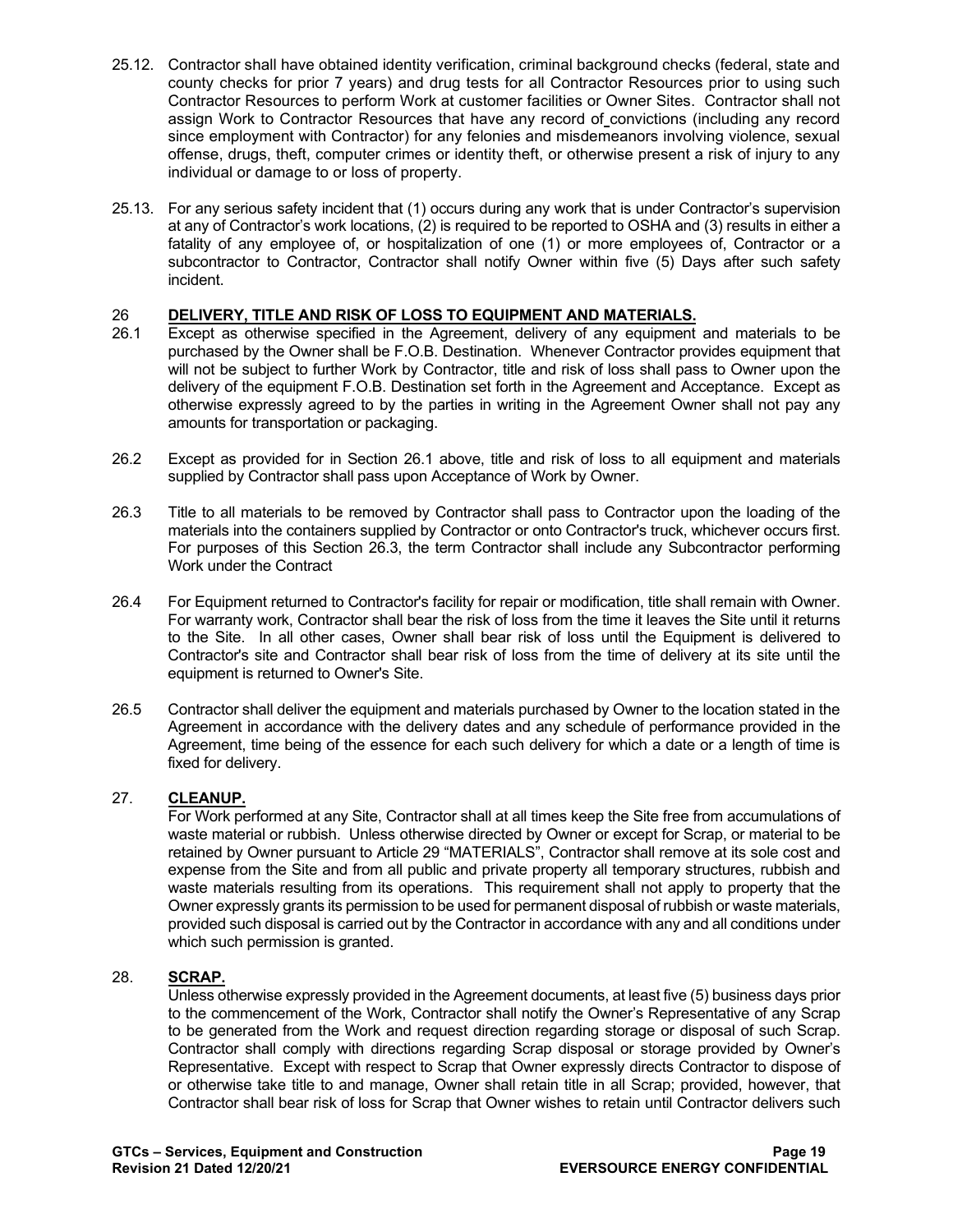- 25.12. Contractor shall have obtained identity verification, criminal background checks (federal, state and county checks for prior 7 years) and drug tests for all Contractor Resources prior to using such Contractor Resources to perform Work at customer facilities or Owner Sites. Contractor shall not assign Work to Contractor Resources that have any record of convictions (including any record since employment with Contractor) for any felonies and misdemeanors involving violence, sexual offense, drugs, theft, computer crimes or identity theft, or otherwise present a risk of injury to any individual or damage to or loss of property.
- 25.13. For any serious safety incident that (1) occurs during any work that is under Contractor's supervision at any of Contractor's work locations, (2) is required to be reported to OSHA and (3) results in either a fatality of any employee of, or hospitalization of one (1) or more employees of, Contractor or a subcontractor to Contractor, Contractor shall notify Owner within five (5) Days after such safety incident.

# 26 **DELIVERY, TITLE AND RISK OF LOSS TO EQUIPMENT AND MATERIALS.**<br>26.1 Except as otherwise specified in the Agreement, delivery of any equipment

- Except as otherwise specified in the Agreement, delivery of any equipment and materials to be purchased by the Owner shall be F.O.B. Destination. Whenever Contractor provides equipment that will not be subject to further Work by Contractor, title and risk of loss shall pass to Owner upon the delivery of the equipment F.O.B. Destination set forth in the Agreement and Acceptance. Except as otherwise expressly agreed to by the parties in writing in the Agreement Owner shall not pay any amounts for transportation or packaging.
- 26.2 Except as provided for in Section 26.1 above, title and risk of loss to all equipment and materials supplied by Contractor shall pass upon Acceptance of Work by Owner.
- 26.3 Title to all materials to be removed by Contractor shall pass to Contractor upon the loading of the materials into the containers supplied by Contractor or onto Contractor's truck, whichever occurs first. For purposes of this Section 26.3, the term Contractor shall include any Subcontractor performing Work under the Contract
- 26.4 For Equipment returned to Contractor's facility for repair or modification, title shall remain with Owner. For warranty work, Contractor shall bear the risk of loss from the time it leaves the Site until it returns to the Site. In all other cases, Owner shall bear risk of loss until the Equipment is delivered to Contractor's site and Contractor shall bear risk of loss from the time of delivery at its site until the equipment is returned to Owner's Site.
- 26.5 Contractor shall deliver the equipment and materials purchased by Owner to the location stated in the Agreement in accordance with the delivery dates and any schedule of performance provided in the Agreement, time being of the essence for each such delivery for which a date or a length of time is fixed for delivery.

# 27. **CLEANUP.**

For Work performed at any Site, Contractor shall at all times keep the Site free from accumulations of waste material or rubbish. Unless otherwise directed by Owner or except for Scrap, or material to be retained by Owner pursuant to Article 29 "MATERIALS", Contractor shall remove at its sole cost and expense from the Site and from all public and private property all temporary structures, rubbish and waste materials resulting from its operations. This requirement shall not apply to property that the Owner expressly grants its permission to be used for permanent disposal of rubbish or waste materials, provided such disposal is carried out by the Contractor in accordance with any and all conditions under which such permission is granted.

### 28. **SCRAP.**

Unless otherwise expressly provided in the Agreement documents, at least five (5) business days prior to the commencement of the Work, Contractor shall notify the Owner's Representative of any Scrap to be generated from the Work and request direction regarding storage or disposal of such Scrap. Contractor shall comply with directions regarding Scrap disposal or storage provided by Owner's Representative. Except with respect to Scrap that Owner expressly directs Contractor to dispose of or otherwise take title to and manage, Owner shall retain title in all Scrap; provided, however, that Contractor shall bear risk of loss for Scrap that Owner wishes to retain until Contractor delivers such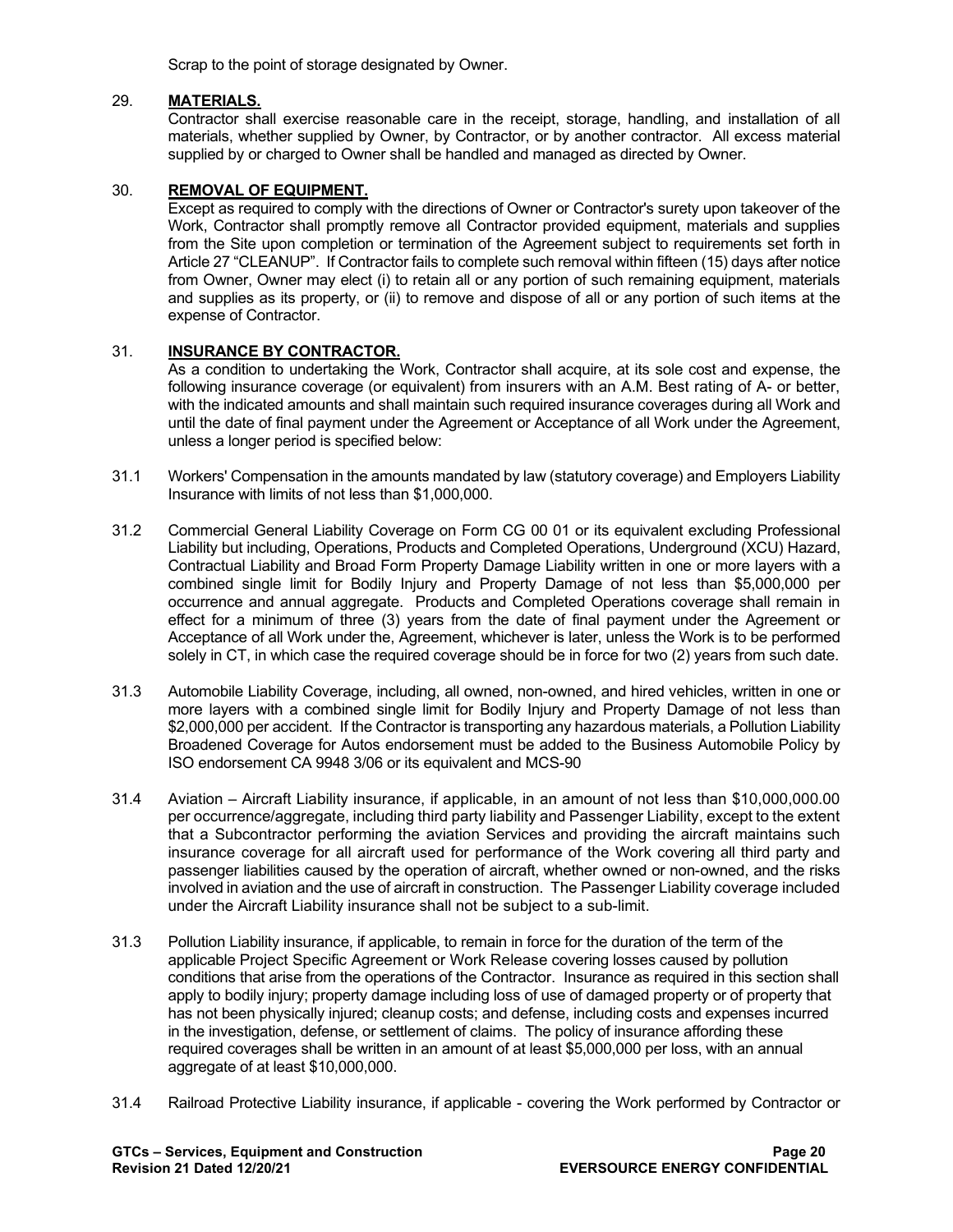Scrap to the point of storage designated by Owner.

### 29. **MATERIALS.**

Contractor shall exercise reasonable care in the receipt, storage, handling, and installation of all materials, whether supplied by Owner, by Contractor, or by another contractor. All excess material supplied by or charged to Owner shall be handled and managed as directed by Owner.

# 30. **REMOVAL OF EQUIPMENT.**

Except as required to comply with the directions of Owner or Contractor's surety upon takeover of the Work, Contractor shall promptly remove all Contractor provided equipment, materials and supplies from the Site upon completion or termination of the Agreement subject to requirements set forth in Article 27 "CLEANUP". If Contractor fails to complete such removal within fifteen (15) days after notice from Owner, Owner may elect (i) to retain all or any portion of such remaining equipment, materials and supplies as its property, or (ii) to remove and dispose of all or any portion of such items at the expense of Contractor.

### 31. **INSURANCE BY CONTRACTOR.**

As a condition to undertaking the Work, Contractor shall acquire, at its sole cost and expense, the following insurance coverage (or equivalent) from insurers with an A.M. Best rating of A- or better, with the indicated amounts and shall maintain such required insurance coverages during all Work and until the date of final payment under the Agreement or Acceptance of all Work under the Agreement, unless a longer period is specified below:

- 31.1 Workers' Compensation in the amounts mandated by law (statutory coverage) and Employers Liability Insurance with limits of not less than \$1,000,000.
- 31.2 Commercial General Liability Coverage on Form CG 00 01 or its equivalent excluding Professional Liability but including, Operations, Products and Completed Operations, Underground (XCU) Hazard, Contractual Liability and Broad Form Property Damage Liability written in one or more layers with a combined single limit for Bodily Injury and Property Damage of not less than \$5,000,000 per occurrence and annual aggregate. Products and Completed Operations coverage shall remain in effect for a minimum of three (3) years from the date of final payment under the Agreement or Acceptance of all Work under the, Agreement, whichever is later, unless the Work is to be performed solely in CT, in which case the required coverage should be in force for two (2) years from such date.
- 31.3 Automobile Liability Coverage, including, all owned, non-owned, and hired vehicles, written in one or more layers with a combined single limit for Bodily Injury and Property Damage of not less than \$2,000,000 per accident. If the Contractor is transporting any hazardous materials, a Pollution Liability Broadened Coverage for Autos endorsement must be added to the Business Automobile Policy by ISO endorsement CA 9948 3/06 or its equivalent and MCS-90
- 31.4 Aviation Aircraft Liability insurance, if applicable, in an amount of not less than \$10,000,000.00 per occurrence/aggregate, including third party liability and Passenger Liability, except to the extent that a Subcontractor performing the aviation Services and providing the aircraft maintains such insurance coverage for all aircraft used for performance of the Work covering all third party and passenger liabilities caused by the operation of aircraft, whether owned or non-owned, and the risks involved in aviation and the use of aircraft in construction. The Passenger Liability coverage included under the Aircraft Liability insurance shall not be subject to a sub-limit.
- 31.3 Pollution Liability insurance, if applicable, to remain in force for the duration of the term of the applicable Project Specific Agreement or Work Release covering losses caused by pollution conditions that arise from the operations of the Contractor. Insurance as required in this section shall apply to bodily injury; property damage including loss of use of damaged property or of property that has not been physically injured; cleanup costs; and defense, including costs and expenses incurred in the investigation, defense, or settlement of claims. The policy of insurance affording these required coverages shall be written in an amount of at least \$5,000,000 per loss, with an annual aggregate of at least \$10,000,000.
- 31.4 Railroad Protective Liability insurance, if applicable covering the Work performed by Contractor or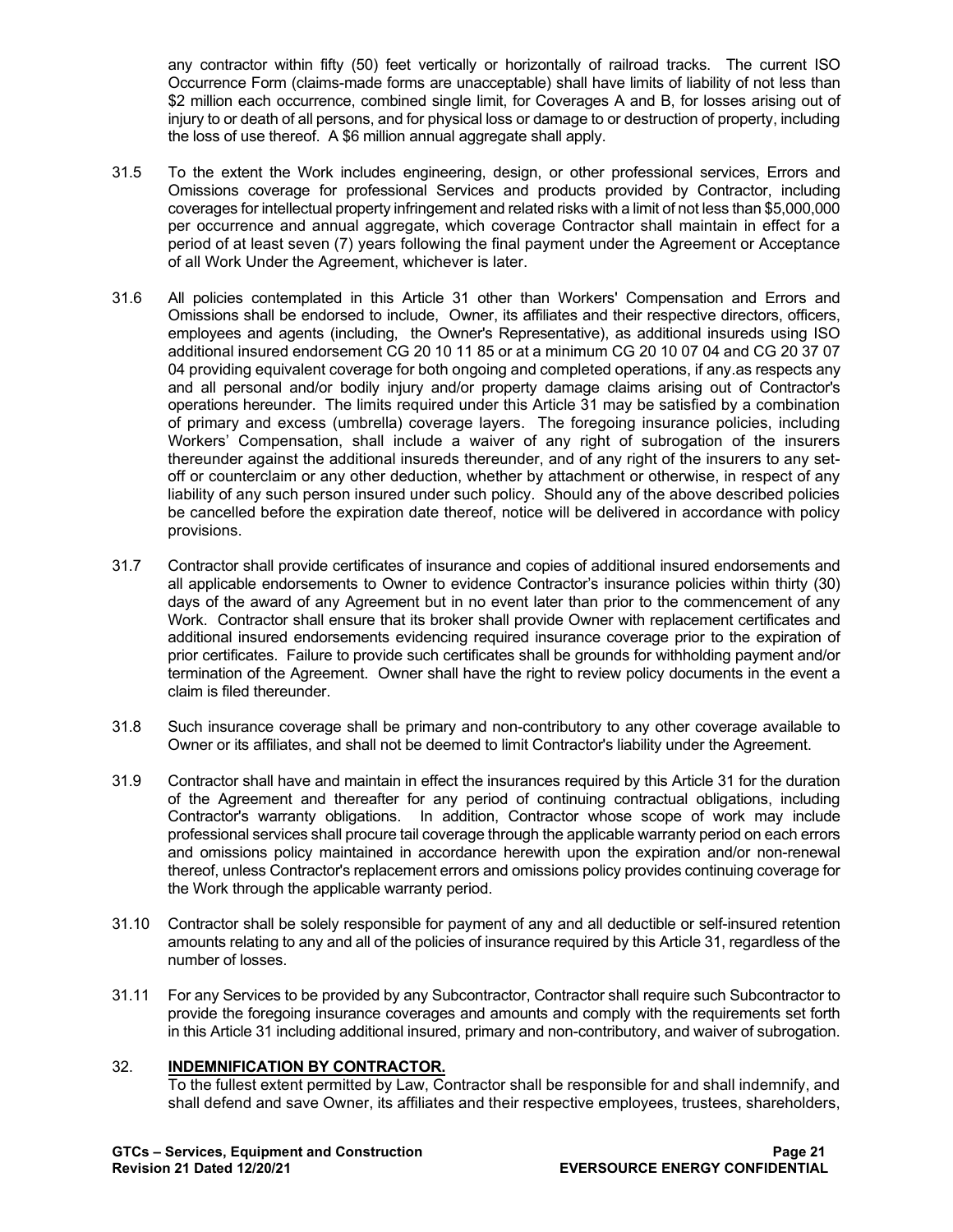any contractor within fifty (50) feet vertically or horizontally of railroad tracks. The current ISO Occurrence Form (claims-made forms are unacceptable) shall have limits of liability of not less than \$2 million each occurrence, combined single limit, for Coverages A and B, for losses arising out of injury to or death of all persons, and for physical loss or damage to or destruction of property, including the loss of use thereof. A \$6 million annual aggregate shall apply.

- 31.5 To the extent the Work includes engineering, design, or other professional services, Errors and Omissions coverage for professional Services and products provided by Contractor, including coverages for intellectual property infringement and related risks with a limit of not less than \$5,000,000 per occurrence and annual aggregate, which coverage Contractor shall maintain in effect for a period of at least seven (7) years following the final payment under the Agreement or Acceptance of all Work Under the Agreement, whichever is later.
- 31.6 All policies contemplated in this Article 31 other than Workers' Compensation and Errors and Omissions shall be endorsed to include, Owner, its affiliates and their respective directors, officers, employees and agents (including, the Owner's Representative), as additional insureds using ISO additional insured endorsement CG 20 10 11 85 or at a minimum CG 20 10 07 04 and CG 20 37 07 04 providing equivalent coverage for both ongoing and completed operations, if any.as respects any and all personal and/or bodily injury and/or property damage claims arising out of Contractor's operations hereunder. The limits required under this Article 31 may be satisfied by a combination of primary and excess (umbrella) coverage layers. The foregoing insurance policies, including Workers' Compensation, shall include a waiver of any right of subrogation of the insurers thereunder against the additional insureds thereunder, and of any right of the insurers to any setoff or counterclaim or any other deduction, whether by attachment or otherwise, in respect of any liability of any such person insured under such policy. Should any of the above described policies be cancelled before the expiration date thereof, notice will be delivered in accordance with policy provisions.
- 31.7 Contractor shall provide certificates of insurance and copies of additional insured endorsements and all applicable endorsements to Owner to evidence Contractor's insurance policies within thirty (30) days of the award of any Agreement but in no event later than prior to the commencement of any Work. Contractor shall ensure that its broker shall provide Owner with replacement certificates and additional insured endorsements evidencing required insurance coverage prior to the expiration of prior certificates. Failure to provide such certificates shall be grounds for withholding payment and/or termination of the Agreement. Owner shall have the right to review policy documents in the event a claim is filed thereunder.
- 31.8 Such insurance coverage shall be primary and non-contributory to any other coverage available to Owner or its affiliates, and shall not be deemed to limit Contractor's liability under the Agreement.
- 31.9 Contractor shall have and maintain in effect the insurances required by this Article 31 for the duration of the Agreement and thereafter for any period of continuing contractual obligations, including Contractor's warranty obligations. In addition, Contractor whose scope of work may include professional services shall procure tail coverage through the applicable warranty period on each errors and omissions policy maintained in accordance herewith upon the expiration and/or non-renewal thereof, unless Contractor's replacement errors and omissions policy provides continuing coverage for the Work through the applicable warranty period.
- 31.10 Contractor shall be solely responsible for payment of any and all deductible or self-insured retention amounts relating to any and all of the policies of insurance required by this Article 31, regardless of the number of losses.
- 31.11 For any Services to be provided by any Subcontractor, Contractor shall require such Subcontractor to provide the foregoing insurance coverages and amounts and comply with the requirements set forth in this Article 31 including additional insured, primary and non-contributory, and waiver of subrogation.

# 32. **INDEMNIFICATION BY CONTRACTOR.**

To the fullest extent permitted by Law, Contractor shall be responsible for and shall indemnify, and shall defend and save Owner, its affiliates and their respective employees, trustees, shareholders,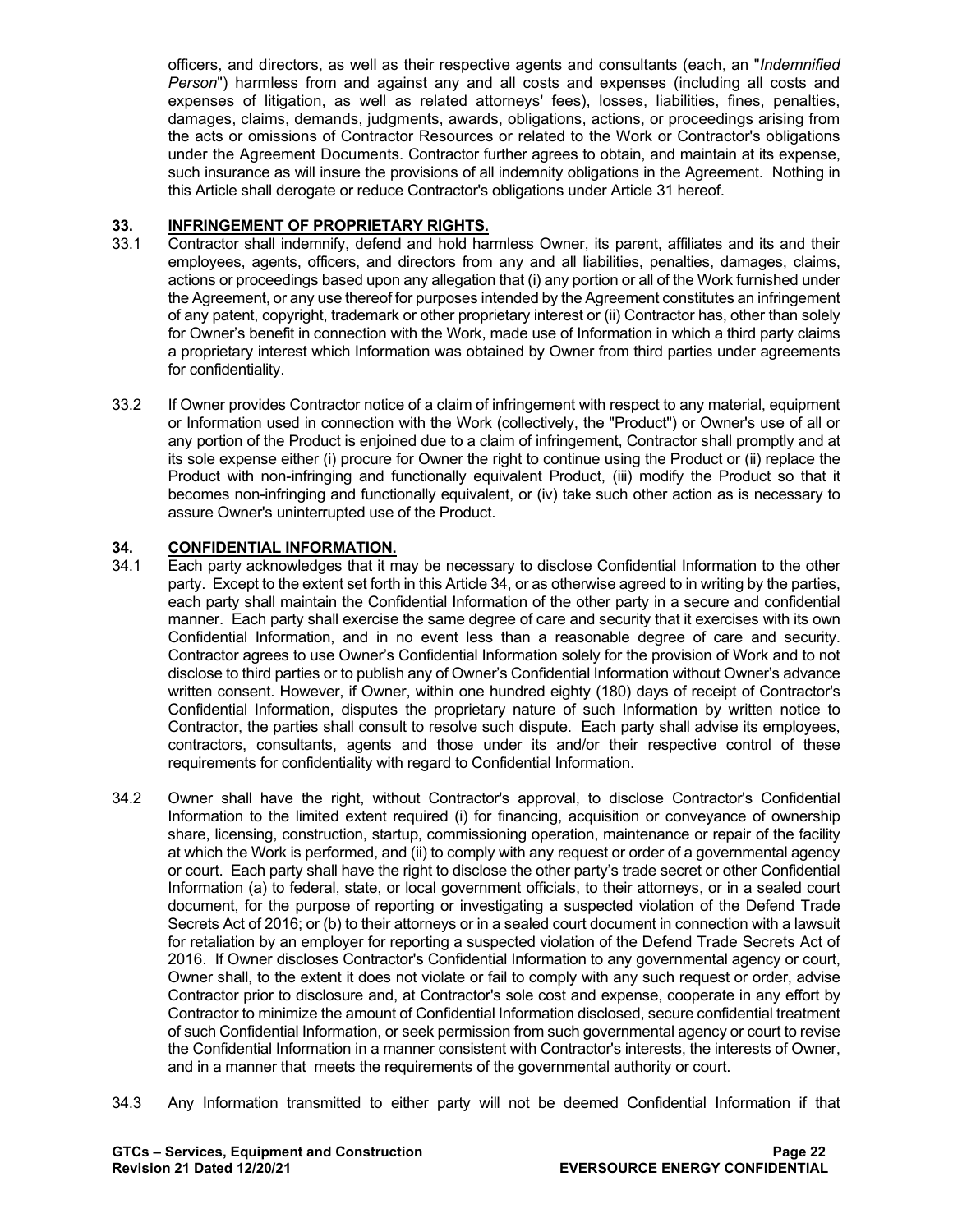officers, and directors, as well as their respective agents and consultants (each, an "*Indemnified Person*") harmless from and against any and all costs and expenses (including all costs and expenses of litigation, as well as related attorneys' fees), losses, liabilities, fines, penalties, damages, claims, demands, judgments, awards, obligations, actions, or proceedings arising from the acts or omissions of Contractor Resources or related to the Work or Contractor's obligations under the Agreement Documents. Contractor further agrees to obtain, and maintain at its expense, such insurance as will insure the provisions of all indemnity obligations in the Agreement. Nothing in this Article shall derogate or reduce Contractor's obligations under Article 31 hereof.

# **33. INFRINGEMENT OF PROPRIETARY RIGHTS.**

- 33.1 Contractor shall indemnify, defend and hold harmless Owner, its parent, affiliates and its and their employees, agents, officers, and directors from any and all liabilities, penalties, damages, claims, actions or proceedings based upon any allegation that (i) any portion or all of the Work furnished under the Agreement, or any use thereof for purposes intended by the Agreement constitutes an infringement of any patent, copyright, trademark or other proprietary interest or (ii) Contractor has, other than solely for Owner's benefit in connection with the Work, made use of Information in which a third party claims a proprietary interest which Information was obtained by Owner from third parties under agreements for confidentiality.
- 33.2 If Owner provides Contractor notice of a claim of infringement with respect to any material, equipment or Information used in connection with the Work (collectively, the "Product") or Owner's use of all or any portion of the Product is enjoined due to a claim of infringement, Contractor shall promptly and at its sole expense either (i) procure for Owner the right to continue using the Product or (ii) replace the Product with non-infringing and functionally equivalent Product, (iii) modify the Product so that it becomes non-infringing and functionally equivalent, or (iv) take such other action as is necessary to assure Owner's uninterrupted use of the Product.

# **34. CONFIDENTIAL INFORMATION.**

- 34.1 Each party acknowledges that it may be necessary to disclose Confidential Information to the other party. Except to the extent set forth in this Article 34, or as otherwise agreed to in writing by the parties, each party shall maintain the Confidential Information of the other party in a secure and confidential manner. Each party shall exercise the same degree of care and security that it exercises with its own Confidential Information, and in no event less than a reasonable degree of care and security. Contractor agrees to use Owner's Confidential Information solely for the provision of Work and to not disclose to third parties or to publish any of Owner's Confidential Information without Owner's advance written consent. However, if Owner, within one hundred eighty (180) days of receipt of Contractor's Confidential Information, disputes the proprietary nature of such Information by written notice to Contractor, the parties shall consult to resolve such dispute. Each party shall advise its employees, contractors, consultants, agents and those under its and/or their respective control of these requirements for confidentiality with regard to Confidential Information.
- 34.2 Owner shall have the right, without Contractor's approval, to disclose Contractor's Confidential Information to the limited extent required (i) for financing, acquisition or conveyance of ownership share, licensing, construction, startup, commissioning operation, maintenance or repair of the facility at which the Work is performed, and (ii) to comply with any request or order of a governmental agency or court. Each party shall have the right to disclose the other party's trade secret or other Confidential Information (a) to federal, state, or local government officials, to their attorneys, or in a sealed court document, for the purpose of reporting or investigating a suspected violation of the Defend Trade Secrets Act of 2016; or (b) to their attorneys or in a sealed court document in connection with a lawsuit for retaliation by an employer for reporting a suspected violation of the Defend Trade Secrets Act of 2016. If Owner discloses Contractor's Confidential Information to any governmental agency or court, Owner shall, to the extent it does not violate or fail to comply with any such request or order, advise Contractor prior to disclosure and, at Contractor's sole cost and expense, cooperate in any effort by Contractor to minimize the amount of Confidential Information disclosed, secure confidential treatment of such Confidential Information, or seek permission from such governmental agency or court to revise the Confidential Information in a manner consistent with Contractor's interests, the interests of Owner, and in a manner that meets the requirements of the governmental authority or court.
- 34.3 Any Information transmitted to either party will not be deemed Confidential Information if that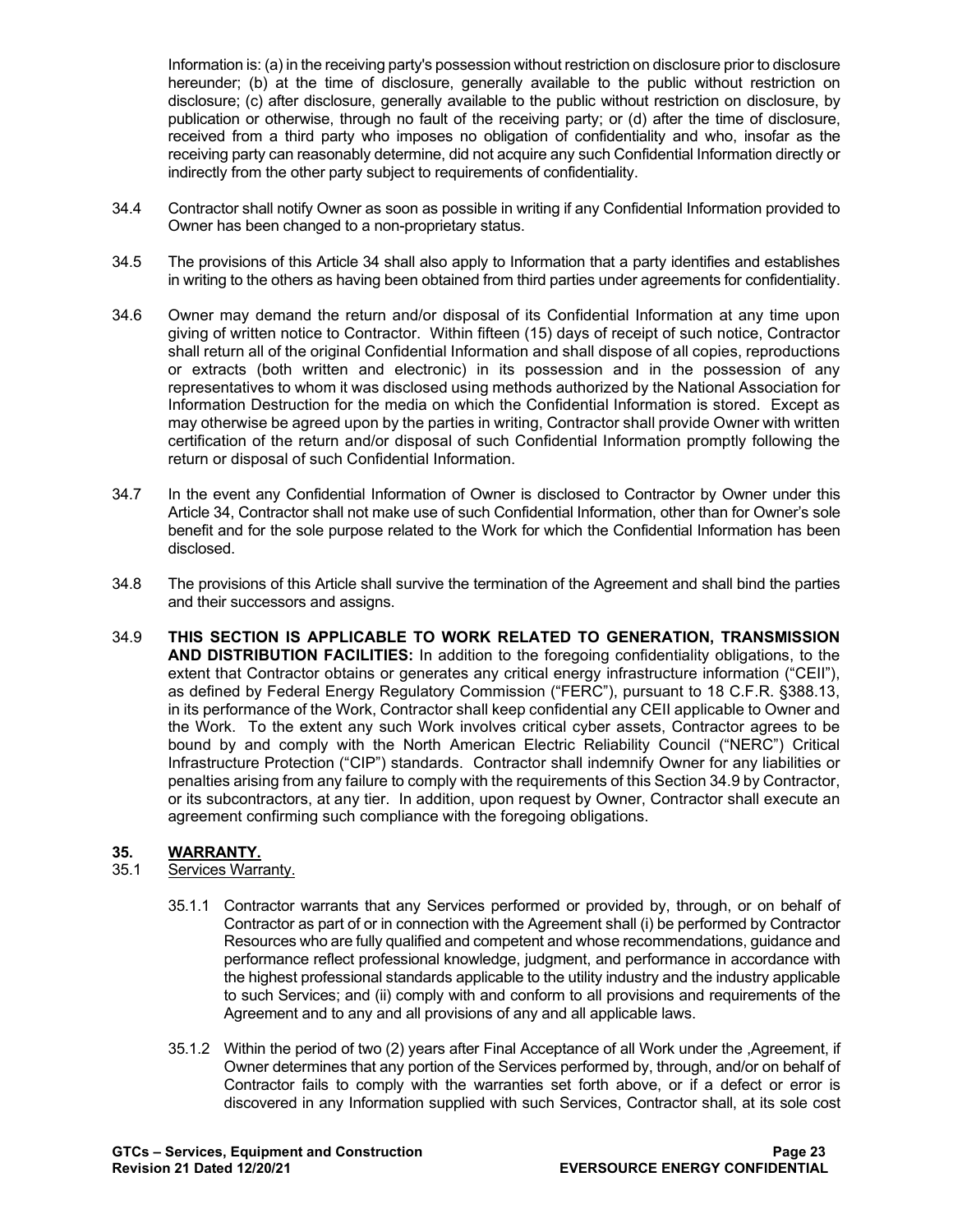Information is: (a) in the receiving party's possession without restriction on disclosure prior to disclosure hereunder; (b) at the time of disclosure, generally available to the public without restriction on disclosure; (c) after disclosure, generally available to the public without restriction on disclosure, by publication or otherwise, through no fault of the receiving party; or (d) after the time of disclosure, received from a third party who imposes no obligation of confidentiality and who, insofar as the receiving party can reasonably determine, did not acquire any such Confidential Information directly or indirectly from the other party subject to requirements of confidentiality.

- 34.4 Contractor shall notify Owner as soon as possible in writing if any Confidential Information provided to Owner has been changed to a non-proprietary status.
- 34.5 The provisions of this Article 34 shall also apply to Information that a party identifies and establishes in writing to the others as having been obtained from third parties under agreements for confidentiality.
- 34.6 Owner may demand the return and/or disposal of its Confidential Information at any time upon giving of written notice to Contractor. Within fifteen (15) days of receipt of such notice, Contractor shall return all of the original Confidential Information and shall dispose of all copies, reproductions or extracts (both written and electronic) in its possession and in the possession of any representatives to whom it was disclosed using methods authorized by the National Association for Information Destruction for the media on which the Confidential Information is stored. Except as may otherwise be agreed upon by the parties in writing, Contractor shall provide Owner with written certification of the return and/or disposal of such Confidential Information promptly following the return or disposal of such Confidential Information.
- 34.7 In the event any Confidential Information of Owner is disclosed to Contractor by Owner under this Article 34, Contractor shall not make use of such Confidential Information, other than for Owner's sole benefit and for the sole purpose related to the Work for which the Confidential Information has been disclosed.
- 34.8 The provisions of this Article shall survive the termination of the Agreement and shall bind the parties and their successors and assigns.
- 34.9 **THIS SECTION IS APPLICABLE TO WORK RELATED TO GENERATION, TRANSMISSION AND DISTRIBUTION FACILITIES:** In addition to the foregoing confidentiality obligations, to the extent that Contractor obtains or generates any critical energy infrastructure information ("CEII"), as defined by Federal Energy Regulatory Commission ("FERC"), pursuant to 18 C.F.R. §388.13, in its performance of the Work, Contractor shall keep confidential any CEII applicable to Owner and the Work. To the extent any such Work involves critical cyber assets, Contractor agrees to be bound by and comply with the North American Electric Reliability Council ("NERC") Critical Infrastructure Protection ("CIP") standards. Contractor shall indemnify Owner for any liabilities or penalties arising from any failure to comply with the requirements of this Section 34.9 by Contractor, or its subcontractors, at any tier. In addition, upon request by Owner, Contractor shall execute an agreement confirming such compliance with the foregoing obligations.

# **35. WARRANTY.**

# Services Warranty.

- 35.1.1 Contractor warrants that any Services performed or provided by, through, or on behalf of Contractor as part of or in connection with the Agreement shall (i) be performed by Contractor Resources who are fully qualified and competent and whose recommendations, guidance and performance reflect professional knowledge, judgment, and performance in accordance with the highest professional standards applicable to the utility industry and the industry applicable to such Services; and (ii) comply with and conform to all provisions and requirements of the Agreement and to any and all provisions of any and all applicable laws.
- 35.1.2 Within the period of two (2) years after Final Acceptance of all Work under the ,Agreement, if Owner determines that any portion of the Services performed by, through, and/or on behalf of Contractor fails to comply with the warranties set forth above, or if a defect or error is discovered in any Information supplied with such Services, Contractor shall, at its sole cost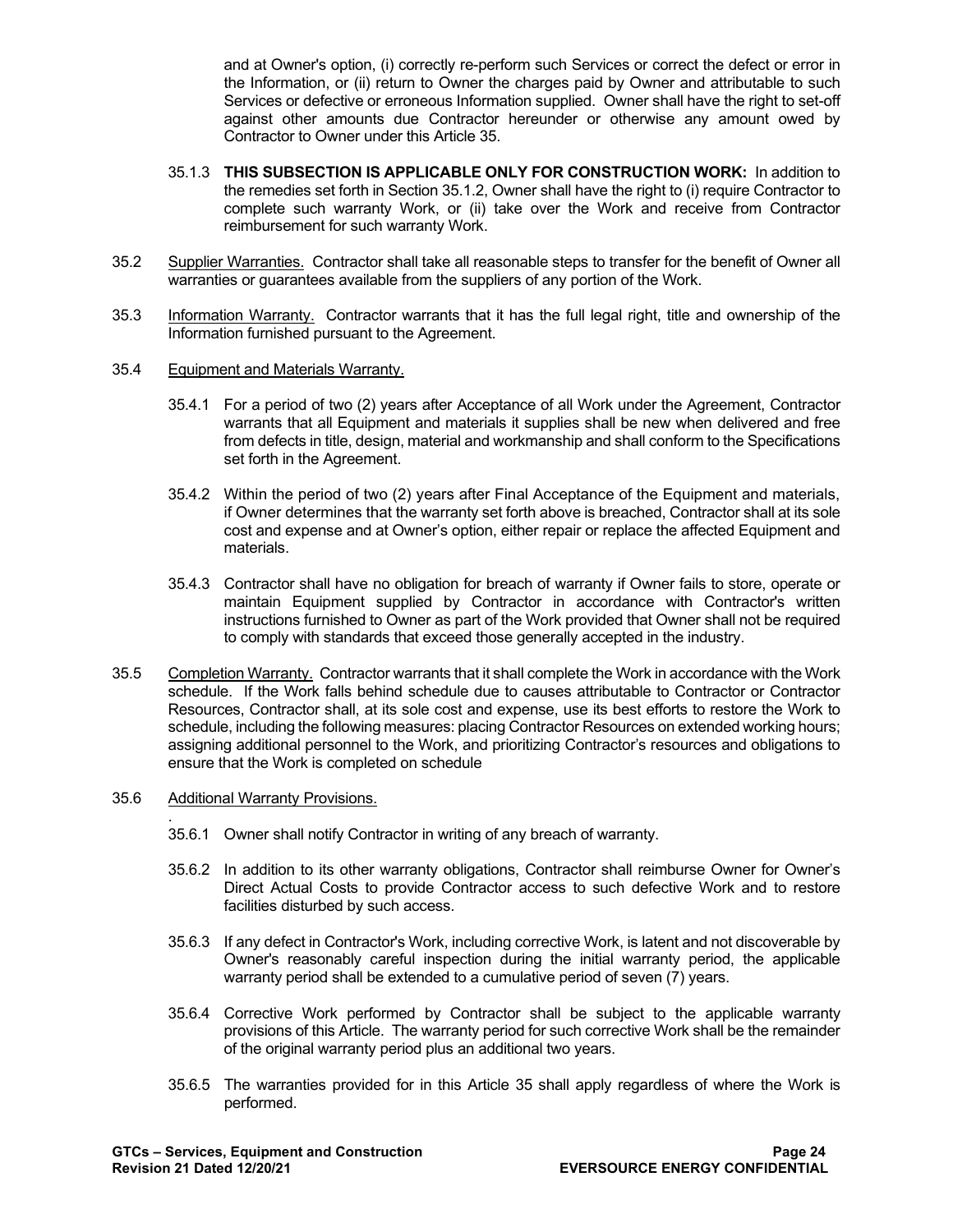and at Owner's option, (i) correctly re-perform such Services or correct the defect or error in the Information, or (ii) return to Owner the charges paid by Owner and attributable to such Services or defective or erroneous Information supplied. Owner shall have the right to set-off against other amounts due Contractor hereunder or otherwise any amount owed by Contractor to Owner under this Article 35.

- 35.1.3 **THIS SUBSECTION IS APPLICABLE ONLY FOR CONSTRUCTION WORK:** In addition to the remedies set forth in Section 35.1.2, Owner shall have the right to (i) require Contractor to complete such warranty Work, or (ii) take over the Work and receive from Contractor reimbursement for such warranty Work.
- 35.2 Supplier Warranties. Contractor shall take all reasonable steps to transfer for the benefit of Owner all warranties or guarantees available from the suppliers of any portion of the Work.
- 35.3 Information Warranty. Contractor warrants that it has the full legal right, title and ownership of the Information furnished pursuant to the Agreement.
- 35.4 Equipment and Materials Warranty.
	- 35.4.1 For a period of two (2) years after Acceptance of all Work under the Agreement, Contractor warrants that all Equipment and materials it supplies shall be new when delivered and free from defects in title, design, material and workmanship and shall conform to the Specifications set forth in the Agreement.
	- 35.4.2 Within the period of two (2) years after Final Acceptance of the Equipment and materials, if Owner determines that the warranty set forth above is breached, Contractor shall at its sole cost and expense and at Owner's option, either repair or replace the affected Equipment and materials.
	- 35.4.3 Contractor shall have no obligation for breach of warranty if Owner fails to store, operate or maintain Equipment supplied by Contractor in accordance with Contractor's written instructions furnished to Owner as part of the Work provided that Owner shall not be required to comply with standards that exceed those generally accepted in the industry.
- 35.5 Completion Warranty. Contractor warrants that it shall complete the Work in accordance with the Work schedule. If the Work falls behind schedule due to causes attributable to Contractor or Contractor Resources, Contractor shall, at its sole cost and expense, use its best efforts to restore the Work to schedule, including the following measures: placing Contractor Resources on extended working hours; assigning additional personnel to the Work, and prioritizing Contractor's resources and obligations to ensure that the Work is completed on schedule

#### 35.6 Additional Warranty Provisions.

- . 35.6.1 Owner shall notify Contractor in writing of any breach of warranty.
- 35.6.2 In addition to its other warranty obligations, Contractor shall reimburse Owner for Owner's Direct Actual Costs to provide Contractor access to such defective Work and to restore facilities disturbed by such access.
- 35.6.3 If any defect in Contractor's Work, including corrective Work, is latent and not discoverable by Owner's reasonably careful inspection during the initial warranty period, the applicable warranty period shall be extended to a cumulative period of seven (7) years.
- 35.6.4 Corrective Work performed by Contractor shall be subject to the applicable warranty provisions of this Article. The warranty period for such corrective Work shall be the remainder of the original warranty period plus an additional two years.
- 35.6.5 The warranties provided for in this Article 35 shall apply regardless of where the Work is performed.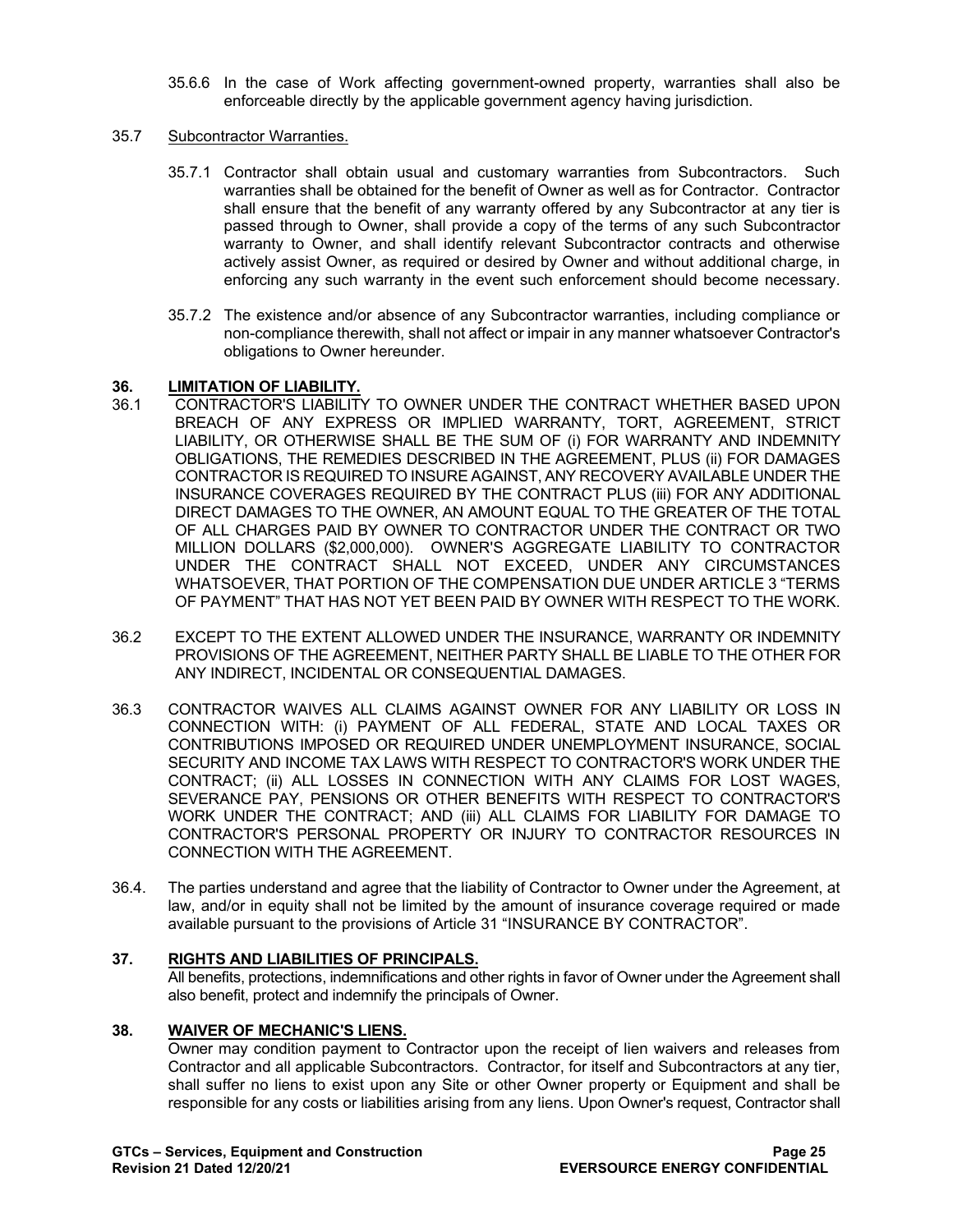35.6.6 In the case of Work affecting government-owned property, warranties shall also be enforceable directly by the applicable government agency having jurisdiction.

### 35.7 Subcontractor Warranties.

- 35.7.1 Contractor shall obtain usual and customary warranties from Subcontractors. Such warranties shall be obtained for the benefit of Owner as well as for Contractor. Contractor shall ensure that the benefit of any warranty offered by any Subcontractor at any tier is passed through to Owner, shall provide a copy of the terms of any such Subcontractor warranty to Owner, and shall identify relevant Subcontractor contracts and otherwise actively assist Owner, as required or desired by Owner and without additional charge, in enforcing any such warranty in the event such enforcement should become necessary.
- 35.7.2 The existence and/or absence of any Subcontractor warranties, including compliance or non-compliance therewith, shall not affect or impair in any manner whatsoever Contractor's obligations to Owner hereunder.

# **36. LIMITATION OF LIABILITY.**

- 36.1 CONTRACTOR'S LIABILITY TO OWNER UNDER THE CONTRACT WHETHER BASED UPON BREACH OF ANY EXPRESS OR IMPLIED WARRANTY, TORT, AGREEMENT, STRICT LIABILITY, OR OTHERWISE SHALL BE THE SUM OF (i) FOR WARRANTY AND INDEMNITY OBLIGATIONS, THE REMEDIES DESCRIBED IN THE AGREEMENT, PLUS (ii) FOR DAMAGES CONTRACTOR IS REQUIRED TO INSURE AGAINST, ANY RECOVERY AVAILABLE UNDER THE INSURANCE COVERAGES REQUIRED BY THE CONTRACT PLUS (iii) FOR ANY ADDITIONAL DIRECT DAMAGES TO THE OWNER, AN AMOUNT EQUAL TO THE GREATER OF THE TOTAL OF ALL CHARGES PAID BY OWNER TO CONTRACTOR UNDER THE CONTRACT OR TWO MILLION DOLLARS (\$2,000,000). OWNER'S AGGREGATE LIABILITY TO CONTRACTOR UNDER THE CONTRACT SHALL NOT EXCEED, UNDER ANY CIRCUMSTANCES WHATSOEVER, THAT PORTION OF THE COMPENSATION DUE UNDER ARTICLE 3 "TERMS OF PAYMENT" THAT HAS NOT YET BEEN PAID BY OWNER WITH RESPECT TO THE WORK.
- 36.2 EXCEPT TO THE EXTENT ALLOWED UNDER THE INSURANCE, WARRANTY OR INDEMNITY PROVISIONS OF THE AGREEMENT, NEITHER PARTY SHALL BE LIABLE TO THE OTHER FOR ANY INDIRECT, INCIDENTAL OR CONSEQUENTIAL DAMAGES.
- 36.3 CONTRACTOR WAIVES ALL CLAIMS AGAINST OWNER FOR ANY LIABILITY OR LOSS IN CONNECTION WITH: (i) PAYMENT OF ALL FEDERAL, STATE AND LOCAL TAXES OR CONTRIBUTIONS IMPOSED OR REQUIRED UNDER UNEMPLOYMENT INSURANCE, SOCIAL SECURITY AND INCOME TAX LAWS WITH RESPECT TO CONTRACTOR'S WORK UNDER THE CONTRACT; (ii) ALL LOSSES IN CONNECTION WITH ANY CLAIMS FOR LOST WAGES, SEVERANCE PAY, PENSIONS OR OTHER BENEFITS WITH RESPECT TO CONTRACTOR'S WORK UNDER THE CONTRACT; AND (iii) ALL CLAIMS FOR LIABILITY FOR DAMAGE TO CONTRACTOR'S PERSONAL PROPERTY OR INJURY TO CONTRACTOR RESOURCES IN CONNECTION WITH THE AGREEMENT.
- 36.4. The parties understand and agree that the liability of Contractor to Owner under the Agreement, at law, and/or in equity shall not be limited by the amount of insurance coverage required or made available pursuant to the provisions of Article 31 "INSURANCE BY CONTRACTOR".

# **37. RIGHTS AND LIABILITIES OF PRINCIPALS.**

All benefits, protections, indemnifications and other rights in favor of Owner under the Agreement shall also benefit, protect and indemnify the principals of Owner.

# **38. WAIVER OF MECHANIC'S LIENS.**

Owner may condition payment to Contractor upon the receipt of lien waivers and releases from Contractor and all applicable Subcontractors. Contractor, for itself and Subcontractors at any tier, shall suffer no liens to exist upon any Site or other Owner property or Equipment and shall be responsible for any costs or liabilities arising from any liens. Upon Owner's request, Contractor shall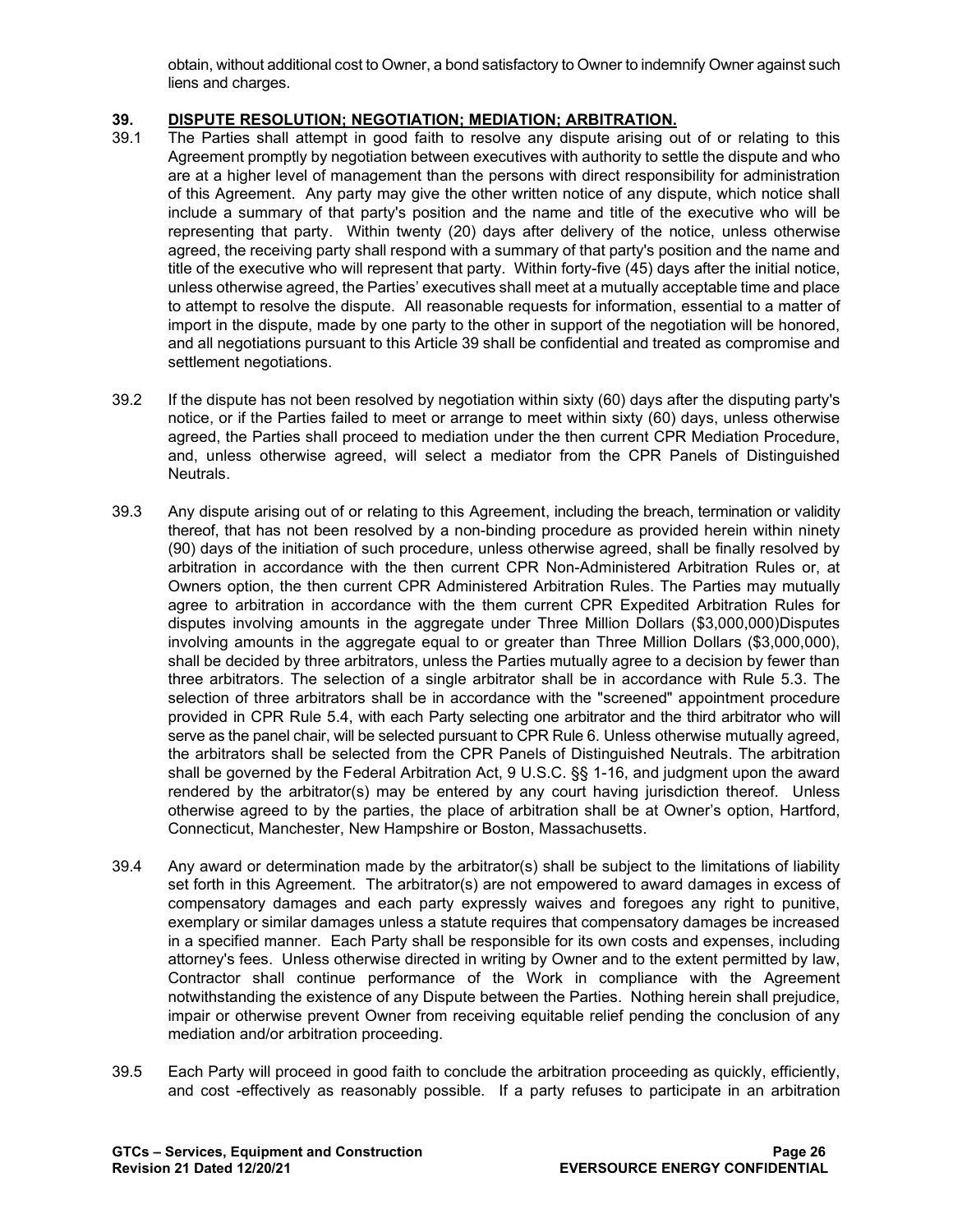obtain, without additional cost to Owner, a bond satisfactory to Owner to indemnify Owner against such liens and charges.

# **39. DISPUTE RESOLUTION; NEGOTIATION; MEDIATION; ARBITRATION.**<br>39.1 The Parties shall attempt in good faith to resolve any dispute arising ou

- The Parties shall attempt in good faith to resolve any dispute arising out of or relating to this Agreement promptly by negotiation between executives with authority to settle the dispute and who are at a higher level of management than the persons with direct responsibility for administration of this Agreement. Any party may give the other written notice of any dispute, which notice shall include a summary of that party's position and the name and title of the executive who will be representing that party. Within twenty (20) days after delivery of the notice, unless otherwise agreed, the receiving party shall respond with a summary of that party's position and the name and title of the executive who will represent that party. Within forty-five (45) days after the initial notice, unless otherwise agreed, the Parties' executives shall meet at a mutually acceptable time and place to attempt to resolve the dispute. All reasonable requests for information, essential to a matter of import in the dispute, made by one party to the other in support of the negotiation will be honored, and all negotiations pursuant to this Article 39 shall be confidential and treated as compromise and settlement negotiations.
- 39.2 If the dispute has not been resolved by negotiation within sixty (60) days after the disputing party's notice, or if the Parties failed to meet or arrange to meet within sixty (60) days, unless otherwise agreed, the Parties shall proceed to mediation under the then current CPR Mediation Procedure, and, unless otherwise agreed, will select a mediator from the CPR Panels of Distinguished Neutrals.
- 39.3 Any dispute arising out of or relating to this Agreement, including the breach, termination or validity thereof, that has not been resolved by a non-binding procedure as provided herein within ninety (90) days of the initiation of such procedure, unless otherwise agreed, shall be finally resolved by arbitration in accordance with the then current CPR Non-Administered Arbitration Rules or, at Owners option, the then current CPR Administered Arbitration Rules. The Parties may mutually agree to arbitration in accordance with the them current CPR Expedited Arbitration Rules for disputes involving amounts in the aggregate under Three Million Dollars (\$3,000,000)Disputes involving amounts in the aggregate equal to or greater than Three Million Dollars (\$3,000,000), shall be decided by three arbitrators, unless the Parties mutually agree to a decision by fewer than three arbitrators. The selection of a single arbitrator shall be in accordance with Rule 5.3. The selection of three arbitrators shall be in accordance with the "screened" appointment procedure provided in CPR Rule 5.4, with each Party selecting one arbitrator and the third arbitrator who will serve as the panel chair, will be selected pursuant to CPR Rule 6. Unless otherwise mutually agreed, the arbitrators shall be selected from the CPR Panels of Distinguished Neutrals. The arbitration shall be governed by the Federal Arbitration Act, 9 U.S.C. §§ 1-16, and judgment upon the award rendered by the arbitrator(s) may be entered by any court having jurisdiction thereof. Unless otherwise agreed to by the parties, the place of arbitration shall be at Owner's option, Hartford, Connecticut, Manchester, New Hampshire or Boston, Massachusetts.
- 39.4 Any award or determination made by the arbitrator(s) shall be subject to the limitations of liability set forth in this Agreement. The arbitrator(s) are not empowered to award damages in excess of compensatory damages and each party expressly waives and foregoes any right to punitive, exemplary or similar damages unless a statute requires that compensatory damages be increased in a specified manner. Each Party shall be responsible for its own costs and expenses, including attorney's fees. Unless otherwise directed in writing by Owner and to the extent permitted by law, Contractor shall continue performance of the Work in compliance with the Agreement notwithstanding the existence of any Dispute between the Parties. Nothing herein shall prejudice, impair or otherwise prevent Owner from receiving equitable relief pending the conclusion of any mediation and/or arbitration proceeding.
- 39.5 Each Party will proceed in good faith to conclude the arbitration proceeding as quickly, efficiently, and cost -effectively as reasonably possible. If a party refuses to participate in an arbitration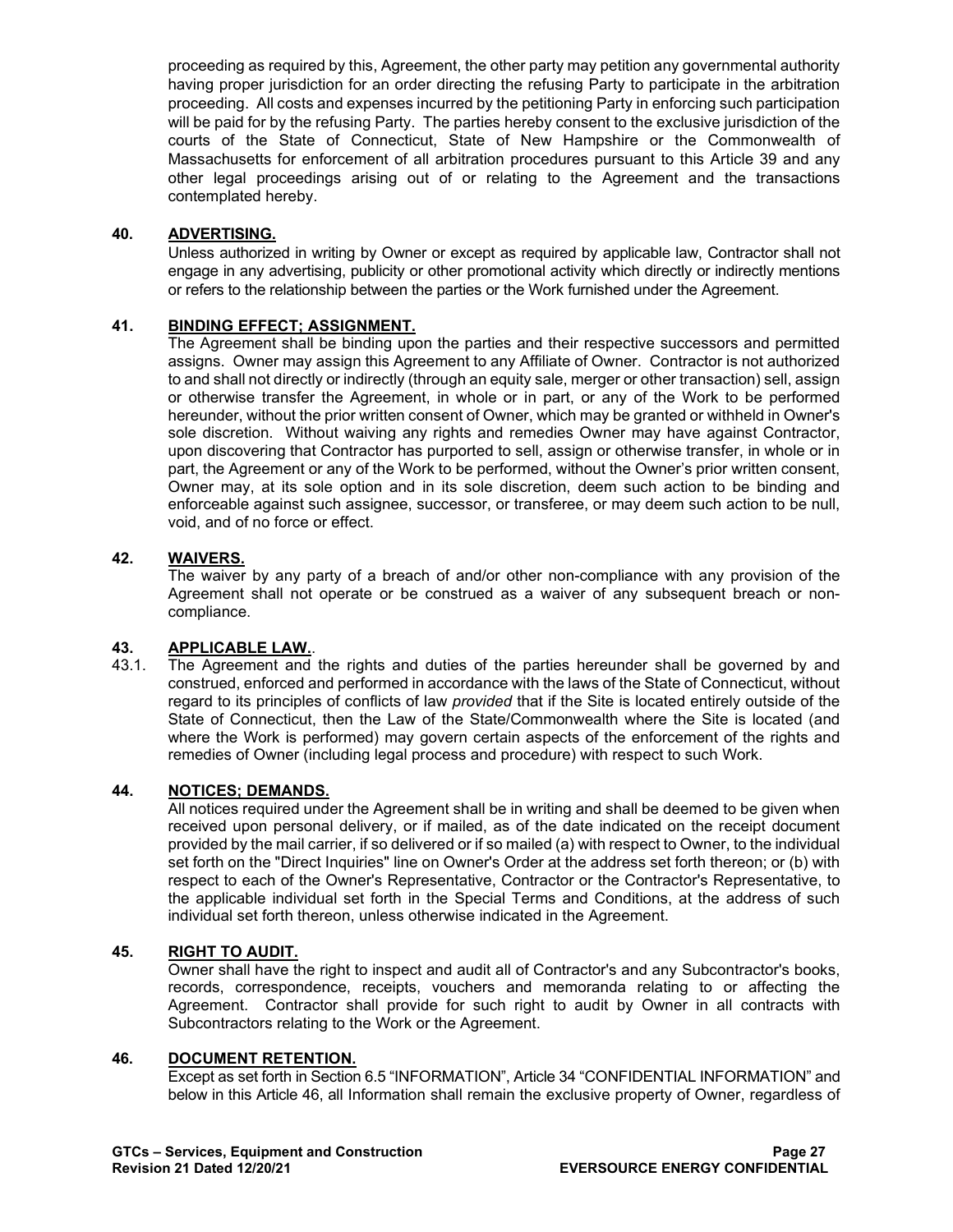proceeding as required by this, Agreement, the other party may petition any governmental authority having proper jurisdiction for an order directing the refusing Party to participate in the arbitration proceeding. All costs and expenses incurred by the petitioning Party in enforcing such participation will be paid for by the refusing Party. The parties hereby consent to the exclusive jurisdiction of the courts of the State of Connecticut, State of New Hampshire or the Commonwealth of Massachusetts for enforcement of all arbitration procedures pursuant to this Article 39 and any other legal proceedings arising out of or relating to the Agreement and the transactions contemplated hereby.

# **40. ADVERTISING.**

Unless authorized in writing by Owner or except as required by applicable law, Contractor shall not engage in any advertising, publicity or other promotional activity which directly or indirectly mentions or refers to the relationship between the parties or the Work furnished under the Agreement.

# **41. BINDING EFFECT; ASSIGNMENT.**

The Agreement shall be binding upon the parties and their respective successors and permitted assigns. Owner may assign this Agreement to any Affiliate of Owner. Contractor is not authorized to and shall not directly or indirectly (through an equity sale, merger or other transaction) sell, assign or otherwise transfer the Agreement, in whole or in part, or any of the Work to be performed hereunder, without the prior written consent of Owner, which may be granted or withheld in Owner's sole discretion. Without waiving any rights and remedies Owner may have against Contractor, upon discovering that Contractor has purported to sell, assign or otherwise transfer, in whole or in part, the Agreement or any of the Work to be performed, without the Owner's prior written consent, Owner may, at its sole option and in its sole discretion, deem such action to be binding and enforceable against such assignee, successor, or transferee, or may deem such action to be null, void, and of no force or effect.

# **42. WAIVERS.**

The waiver by any party of a breach of and/or other non-compliance with any provision of the Agreement shall not operate or be construed as a waiver of any subsequent breach or noncompliance.

# **43. APPLICABLE LAW.**<br>43.1. The Agreement and

The Agreement and the rights and duties of the parties hereunder shall be governed by and construed, enforced and performed in accordance with the laws of the State of Connecticut, without regard to its principles of conflicts of law *provided* that if the Site is located entirely outside of the State of Connecticut, then the Law of the State/Commonwealth where the Site is located (and where the Work is performed) may govern certain aspects of the enforcement of the rights and remedies of Owner (including legal process and procedure) with respect to such Work.

# **44. NOTICES; DEMANDS.**

All notices required under the Agreement shall be in writing and shall be deemed to be given when received upon personal delivery, or if mailed, as of the date indicated on the receipt document provided by the mail carrier, if so delivered or if so mailed (a) with respect to Owner, to the individual set forth on the "Direct Inquiries" line on Owner's Order at the address set forth thereon; or (b) with respect to each of the Owner's Representative, Contractor or the Contractor's Representative, to the applicable individual set forth in the Special Terms and Conditions, at the address of such individual set forth thereon, unless otherwise indicated in the Agreement.

# **45. RIGHT TO AUDIT.**

Owner shall have the right to inspect and audit all of Contractor's and any Subcontractor's books, records, correspondence, receipts, vouchers and memoranda relating to or affecting the Agreement. Contractor shall provide for such right to audit by Owner in all contracts with Subcontractors relating to the Work or the Agreement.

# **46. DOCUMENT RETENTION.**

Except as set forth in Section 6.5 "INFORMATION", Article 34 "CONFIDENTIAL INFORMATION" and below in this Article 46, all Information shall remain the exclusive property of Owner, regardless of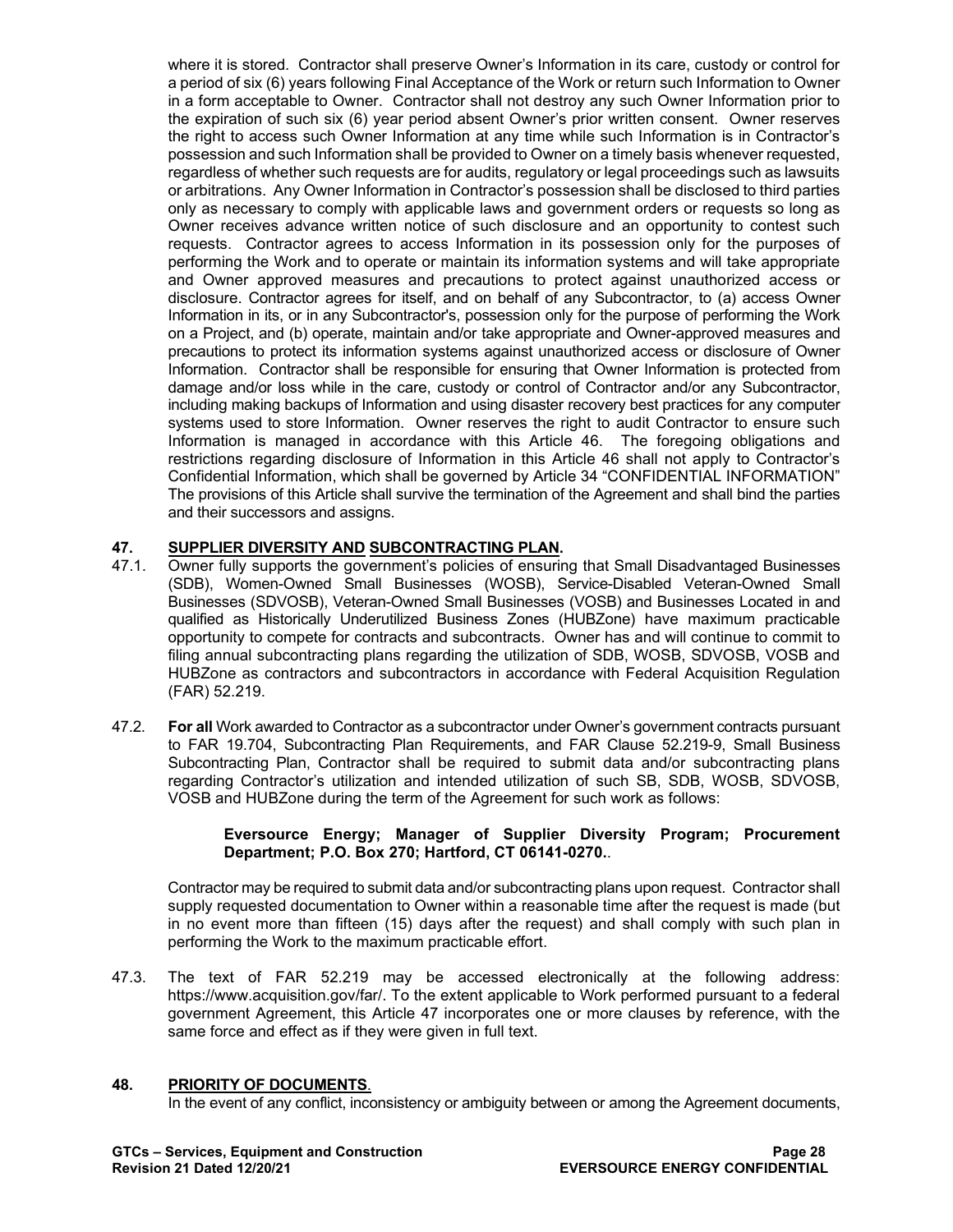where it is stored. Contractor shall preserve Owner's Information in its care, custody or control for a period of six (6) years following Final Acceptance of the Work or return such Information to Owner in a form acceptable to Owner. Contractor shall not destroy any such Owner Information prior to the expiration of such six (6) year period absent Owner's prior written consent. Owner reserves the right to access such Owner Information at any time while such Information is in Contractor's possession and such Information shall be provided to Owner on a timely basis whenever requested, regardless of whether such requests are for audits, regulatory or legal proceedings such as lawsuits or arbitrations. Any Owner Information in Contractor's possession shall be disclosed to third parties only as necessary to comply with applicable laws and government orders or requests so long as Owner receives advance written notice of such disclosure and an opportunity to contest such requests. Contractor agrees to access Information in its possession only for the purposes of performing the Work and to operate or maintain its information systems and will take appropriate and Owner approved measures and precautions to protect against unauthorized access or disclosure. Contractor agrees for itself, and on behalf of any Subcontractor, to (a) access Owner Information in its, or in any Subcontractor's, possession only for the purpose of performing the Work on a Project, and (b) operate, maintain and/or take appropriate and Owner-approved measures and precautions to protect its information systems against unauthorized access or disclosure of Owner Information. Contractor shall be responsible for ensuring that Owner Information is protected from damage and/or loss while in the care, custody or control of Contractor and/or any Subcontractor, including making backups of Information and using disaster recovery best practices for any computer systems used to store Information. Owner reserves the right to audit Contractor to ensure such Information is managed in accordance with this Article 46. The foregoing obligations and restrictions regarding disclosure of Information in this Article 46 shall not apply to Contractor's Confidential Information, which shall be governed by Article 34 "CONFIDENTIAL INFORMATION" The provisions of this Article shall survive the termination of the Agreement and shall bind the parties and their successors and assigns.

# **47. SUPPLIER DIVERSITY AND SUBCONTRACTING PLAN.**

- 47.1. Owner fully supports the government's policies of ensuring that Small Disadvantaged Businesses (SDB), Women-Owned Small Businesses (WOSB), Service-Disabled Veteran-Owned Small Businesses (SDVOSB), Veteran-Owned Small Businesses (VOSB) and Businesses Located in and qualified as Historically Underutilized Business Zones (HUBZone) have maximum practicable opportunity to compete for contracts and subcontracts. Owner has and will continue to commit to filing annual subcontracting plans regarding the utilization of SDB, WOSB, SDVOSB, VOSB and HUBZone as contractors and subcontractors in accordance with Federal Acquisition Regulation (FAR) 52.219.
- 47.2. **For all** Work awarded to Contractor as a subcontractor under Owner's government contracts pursuant to FAR 19.704, Subcontracting Plan Requirements, and FAR Clause 52.219-9, Small Business Subcontracting Plan, Contractor shall be required to submit data and/or subcontracting plans regarding Contractor's utilization and intended utilization of such SB, SDB, WOSB, SDVOSB, VOSB and HUBZone during the term of the Agreement for such work as follows:

### **Eversource Energy; Manager of Supplier Diversity Program; Procurement Department; P.O. Box 270; Hartford, CT 06141-0270.**.

Contractor may be required to submit data and/or subcontracting plans upon request. Contractor shall supply requested documentation to Owner within a reasonable time after the request is made (but in no event more than fifteen (15) days after the request) and shall comply with such plan in performing the Work to the maximum practicable effort.

47.3. The text of FAR 52.219 may be accessed electronically at the following address: [https://www.acquisition.gov/far/.](https://www.acquisition.gov/far/) To the extent applicable to Work performed pursuant to a federal government Agreement, this Article 47 incorporates one or more clauses by reference, with the same force and effect as if they were given in full text.

# **48. PRIORITY OF DOCUMENTS**.

In the event of any conflict, inconsistency or ambiguity between or among the Agreement documents,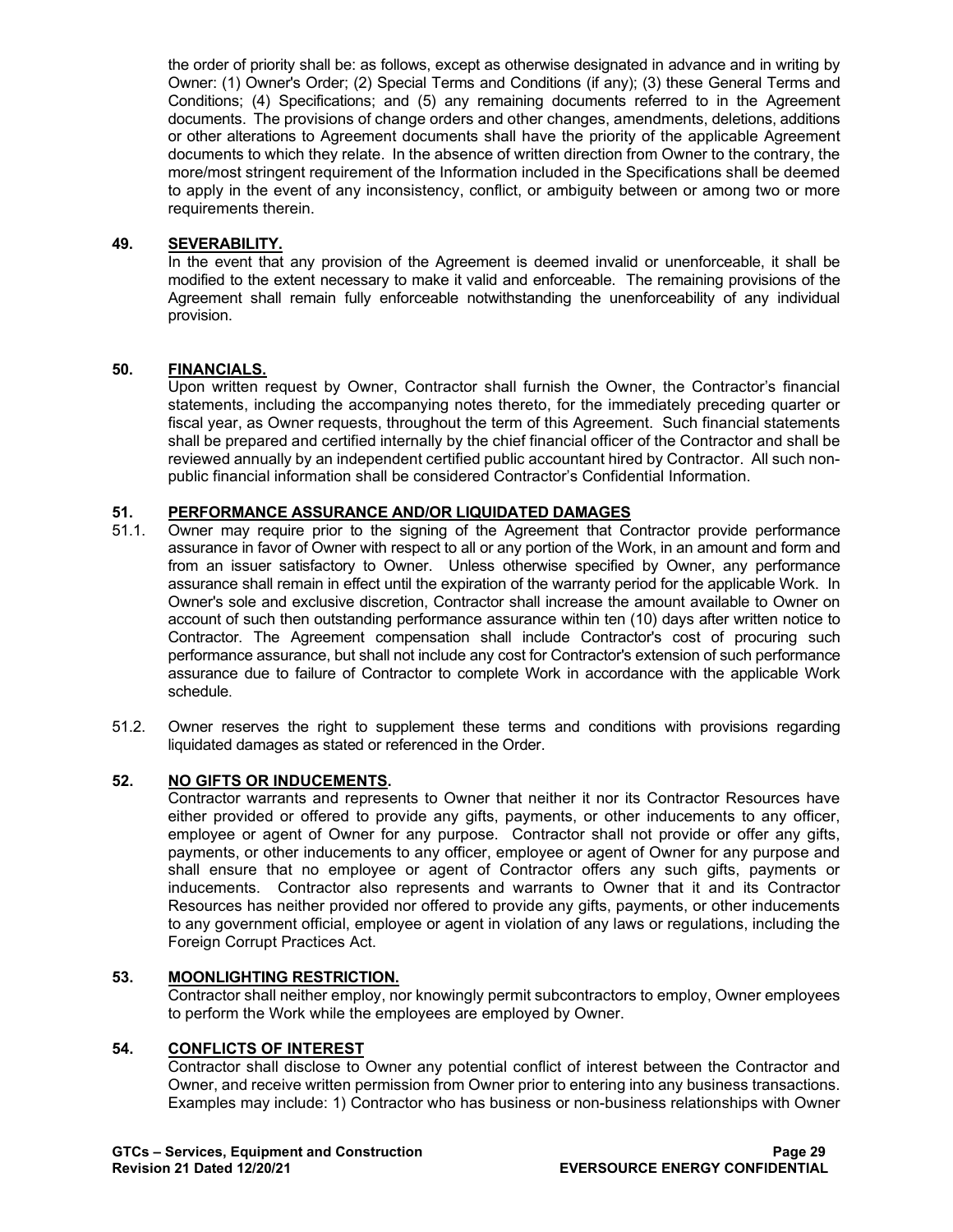the order of priority shall be: as follows, except as otherwise designated in advance and in writing by Owner: (1) Owner's Order; (2) Special Terms and Conditions (if any); (3) these General Terms and Conditions; (4) Specifications; and (5) any remaining documents referred to in the Agreement documents. The provisions of change orders and other changes, amendments, deletions, additions or other alterations to Agreement documents shall have the priority of the applicable Agreement documents to which they relate. In the absence of written direction from Owner to the contrary, the more/most stringent requirement of the Information included in the Specifications shall be deemed to apply in the event of any inconsistency, conflict, or ambiguity between or among two or more requirements therein.

# **49. SEVERABILITY.**

In the event that any provision of the Agreement is deemed invalid or unenforceable, it shall be modified to the extent necessary to make it valid and enforceable. The remaining provisions of the Agreement shall remain fully enforceable notwithstanding the unenforceability of any individual provision.

### **50. FINANCIALS.**

Upon written request by Owner, Contractor shall furnish the Owner, the Contractor's financial statements, including the accompanying notes thereto, for the immediately preceding quarter or fiscal year, as Owner requests, throughout the term of this Agreement. Such financial statements shall be prepared and certified internally by the chief financial officer of the Contractor and shall be reviewed annually by an independent certified public accountant hired by Contractor. All such nonpublic financial information shall be considered Contractor's Confidential Information.

# **51. PERFORMANCE ASSURANCE AND/OR LIQUIDATED DAMAGES**

- Owner may require prior to the signing of the Agreement that Contractor provide performance assurance in favor of Owner with respect to all or any portion of the Work, in an amount and form and from an issuer satisfactory to Owner. Unless otherwise specified by Owner, any performance assurance shall remain in effect until the expiration of the warranty period for the applicable Work. In Owner's sole and exclusive discretion, Contractor shall increase the amount available to Owner on account of such then outstanding performance assurance within ten (10) days after written notice to Contractor. The Agreement compensation shall include Contractor's cost of procuring such performance assurance, but shall not include any cost for Contractor's extension of such performance assurance due to failure of Contractor to complete Work in accordance with the applicable Work schedule.
- 51.2. Owner reserves the right to supplement these terms and conditions with provisions regarding liquidated damages as stated or referenced in the Order.

### **52. NO GIFTS OR INDUCEMENTS.**

Contractor warrants and represents to Owner that neither it nor its Contractor Resources have either provided or offered to provide any gifts, payments, or other inducements to any officer, employee or agent of Owner for any purpose. Contractor shall not provide or offer any gifts, payments, or other inducements to any officer, employee or agent of Owner for any purpose and shall ensure that no employee or agent of Contractor offers any such gifts, payments or inducements. Contractor also represents and warrants to Owner that it and its Contractor Resources has neither provided nor offered to provide any gifts, payments, or other inducements to any government official, employee or agent in violation of any laws or regulations, including the Foreign Corrupt Practices Act.

### **53. MOONLIGHTING RESTRICTION.**

Contractor shall neither employ, nor knowingly permit subcontractors to employ, Owner employees to perform the Work while the employees are employed by Owner.

#### **54. CONFLICTS OF INTEREST**

Contractor shall disclose to Owner any potential conflict of interest between the Contractor and Owner, and receive written permission from Owner prior to entering into any business transactions. Examples may include: 1) Contractor who has business or non-business relationships with Owner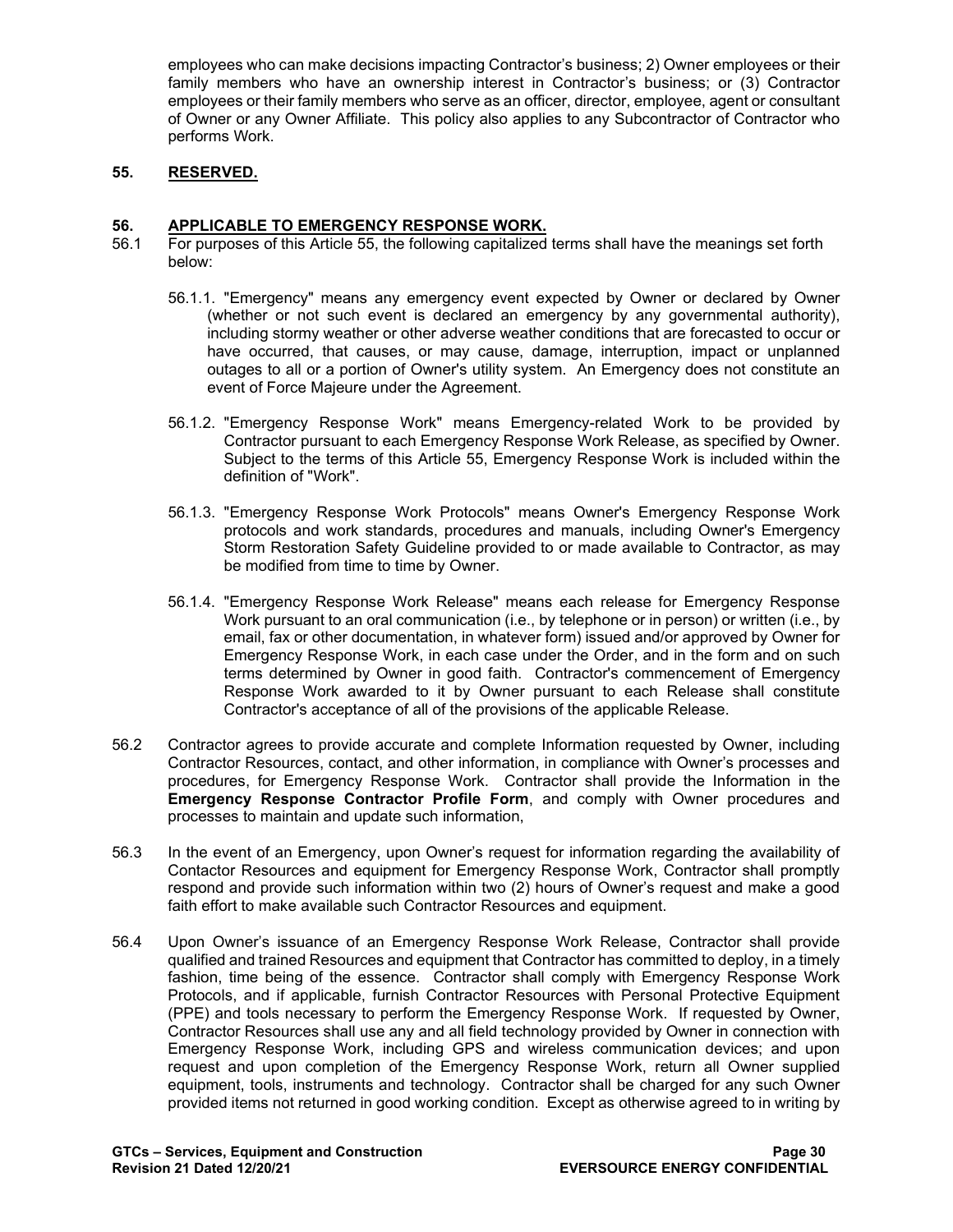employees who can make decisions impacting Contractor's business; 2) Owner employees or their family members who have an ownership interest in Contractor's business; or (3) Contractor employees or their family members who serve as an officer, director, employee, agent or consultant of Owner or any Owner Affiliate. This policy also applies to any Subcontractor of Contractor who performs Work.

# **55. RESERVED.**

### **56. APPLICABLE TO EMERGENCY RESPONSE WORK.**

- 56.1 For purposes of this Article 55, the following capitalized terms shall have the meanings set forth below:
	- 56.1.1. "Emergency" means any emergency event expected by Owner or declared by Owner (whether or not such event is declared an emergency by any governmental authority), including stormy weather or other adverse weather conditions that are forecasted to occur or have occurred, that causes, or may cause, damage, interruption, impact or unplanned outages to all or a portion of Owner's utility system. An Emergency does not constitute an event of Force Majeure under the Agreement.
	- 56.1.2. "Emergency Response Work" means Emergency-related Work to be provided by Contractor pursuant to each Emergency Response Work Release, as specified by Owner. Subject to the terms of this Article 55, Emergency Response Work is included within the definition of "Work".
	- 56.1.3. "Emergency Response Work Protocols" means Owner's Emergency Response Work protocols and work standards, procedures and manuals, including Owner's Emergency Storm Restoration Safety Guideline provided to or made available to Contractor, as may be modified from time to time by Owner.
	- 56.1.4. "Emergency Response Work Release" means each release for Emergency Response Work pursuant to an oral communication (i.e., by telephone or in person) or written (i.e., by email, fax or other documentation, in whatever form) issued and/or approved by Owner for Emergency Response Work, in each case under the Order, and in the form and on such terms determined by Owner in good faith. Contractor's commencement of Emergency Response Work awarded to it by Owner pursuant to each Release shall constitute Contractor's acceptance of all of the provisions of the applicable Release.
- 56.2 Contractor agrees to provide accurate and complete Information requested by Owner, including Contractor Resources, contact, and other information, in compliance with Owner's processes and procedures, for Emergency Response Work. Contractor shall provide the Information in the **Emergency Response Contractor Profile Form**, and comply with Owner procedures and processes to maintain and update such information,
- 56.3 In the event of an Emergency, upon Owner's request for information regarding the availability of Contactor Resources and equipment for Emergency Response Work, Contractor shall promptly respond and provide such information within two (2) hours of Owner's request and make a good faith effort to make available such Contractor Resources and equipment.
- 56.4 Upon Owner's issuance of an Emergency Response Work Release, Contractor shall provide qualified and trained Resources and equipment that Contractor has committed to deploy, in a timely fashion, time being of the essence. Contractor shall comply with Emergency Response Work Protocols, and if applicable, furnish Contractor Resources with Personal Protective Equipment (PPE) and tools necessary to perform the Emergency Response Work. If requested by Owner, Contractor Resources shall use any and all field technology provided by Owner in connection with Emergency Response Work, including GPS and wireless communication devices; and upon request and upon completion of the Emergency Response Work, return all Owner supplied equipment, tools, instruments and technology. Contractor shall be charged for any such Owner provided items not returned in good working condition. Except as otherwise agreed to in writing by